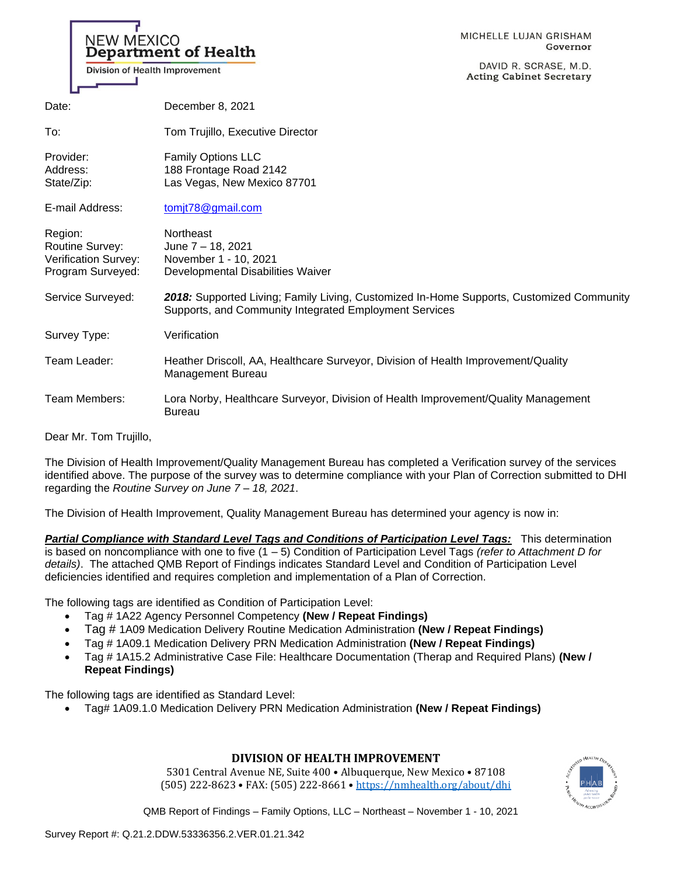| Division of Health Improvement                                          | MICHELLE LUJAN GRISHAM<br>NEW MEXICO<br><b>Department of Health</b><br>Governor<br>DAVID R. SCRASE, M.D.<br><b>Acting Cabinet Secretary</b>        |
|-------------------------------------------------------------------------|----------------------------------------------------------------------------------------------------------------------------------------------------|
| Date:                                                                   | December 8, 2021                                                                                                                                   |
| To:                                                                     | Tom Trujillo, Executive Director                                                                                                                   |
| Provider:<br>Address:<br>State/Zip:                                     | <b>Family Options LLC</b><br>188 Frontage Road 2142<br>Las Vegas, New Mexico 87701                                                                 |
| E-mail Address:                                                         | tomjt78@gmail.com                                                                                                                                  |
| Region:<br>Routine Survey:<br>Verification Survey:<br>Program Surveyed: | Northeast<br>June 7 - 18, 2021<br>November 1 - 10, 2021<br>Developmental Disabilities Waiver                                                       |
| Service Surveyed:                                                       | 2018: Supported Living; Family Living, Customized In-Home Supports, Customized Community<br>Supports, and Community Integrated Employment Services |
| Survey Type:                                                            | Verification                                                                                                                                       |
| Team Leader:                                                            | Heather Driscoll, AA, Healthcare Surveyor, Division of Health Improvement/Quality<br><b>Management Bureau</b>                                      |
| Team Members:                                                           | Lora Norby, Healthcare Surveyor, Division of Health Improvement/Quality Management<br><b>Bureau</b>                                                |

Dear Mr. Tom Trujillo,

The Division of Health Improvement/Quality Management Bureau has completed a Verification survey of the services identified above. The purpose of the survey was to determine compliance with your Plan of Correction submitted to DHI regarding the *Routine Survey on June 7 – 18, 2021*.

The Division of Health Improvement, Quality Management Bureau has determined your agency is now in:

*Partial Compliance with Standard Level Tags and Conditions of Participation Level Tags:* This determination is based on noncompliance with one to five (1 – 5) Condition of Participation Level Tags *(refer to Attachment D for details)*. The attached QMB Report of Findings indicates Standard Level and Condition of Participation Level deficiencies identified and requires completion and implementation of a Plan of Correction.

The following tags are identified as Condition of Participation Level:

- Tag # 1A22 Agency Personnel Competency **(New / Repeat Findings)**
- Tag # 1A09 Medication Delivery Routine Medication Administration **(New / Repeat Findings)**
- Tag # 1A09.1 Medication Delivery PRN Medication Administration **(New / Repeat Findings)**
- Tag # 1A15.2 Administrative Case File: Healthcare Documentation (Therap and Required Plans) **(New / Repeat Findings)**

The following tags are identified as Standard Level:

• Tag# 1A09.1.0 Medication Delivery PRN Medication Administration **(New / Repeat Findings)** 

## **DIVISION OF HEALTH IMPROVEMENT**

5301 Central Avenue NE, Suite 400 • Albuquerque, New Mexico • 87108 (505) 222-8623 • FAX: (505) 222-8661 • <https://nmhealth.org/about/dhi>

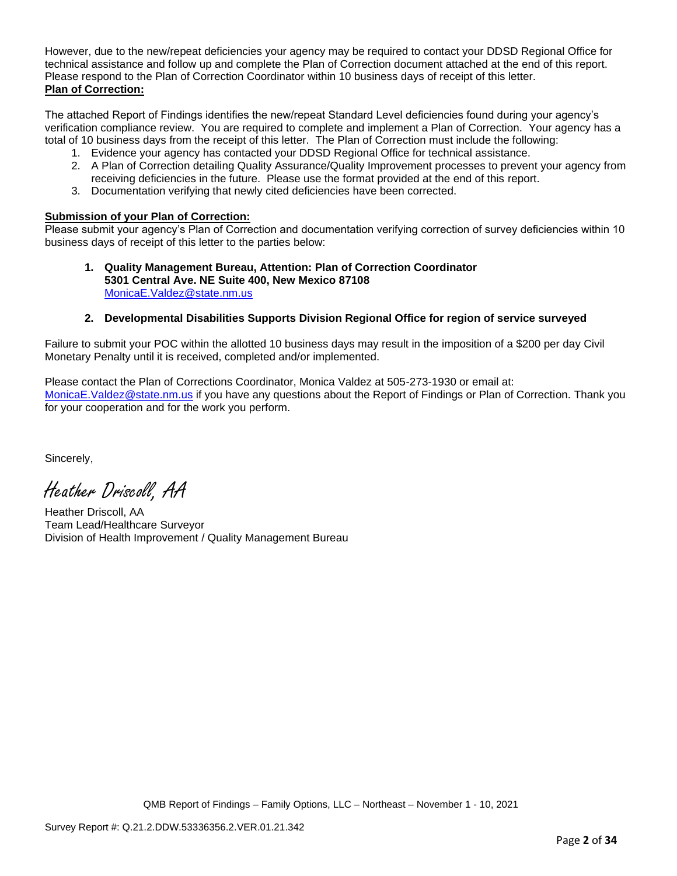However, due to the new/repeat deficiencies your agency may be required to contact your DDSD Regional Office for technical assistance and follow up and complete the Plan of Correction document attached at the end of this report. Please respond to the Plan of Correction Coordinator within 10 business days of receipt of this letter. **Plan of Correction:**

The attached Report of Findings identifies the new/repeat Standard Level deficiencies found during your agency's verification compliance review. You are required to complete and implement a Plan of Correction. Your agency has a total of 10 business days from the receipt of this letter. The Plan of Correction must include the following:

- 1. Evidence your agency has contacted your DDSD Regional Office for technical assistance.
- 2. A Plan of Correction detailing Quality Assurance/Quality Improvement processes to prevent your agency from receiving deficiencies in the future. Please use the format provided at the end of this report.
- 3. Documentation verifying that newly cited deficiencies have been corrected.

## **Submission of your Plan of Correction:**

Please submit your agency's Plan of Correction and documentation verifying correction of survey deficiencies within 10 business days of receipt of this letter to the parties below:

**1. Quality Management Bureau, Attention: Plan of Correction Coordinator 5301 Central Ave. NE Suite 400, New Mexico 87108** [MonicaE.Valdez@state.nm.us](mailto:MonicaE.Valdez@state.nm.us)

## **2. Developmental Disabilities Supports Division Regional Office for region of service surveyed**

Failure to submit your POC within the allotted 10 business days may result in the imposition of a \$200 per day Civil Monetary Penalty until it is received, completed and/or implemented.

Please contact the Plan of Corrections Coordinator, Monica Valdez at 505-273-1930 or email at: [MonicaE.Valdez@state.nm.us](mailto:MonicaE.Valdez@state.nm.us) if you have any questions about the Report of Findings or Plan of Correction. Thank you for your cooperation and for the work you perform.

Sincerely,

Heather Driscoll, AA

Heather Driscoll, AA Team Lead/Healthcare Surveyor Division of Health Improvement / Quality Management Bureau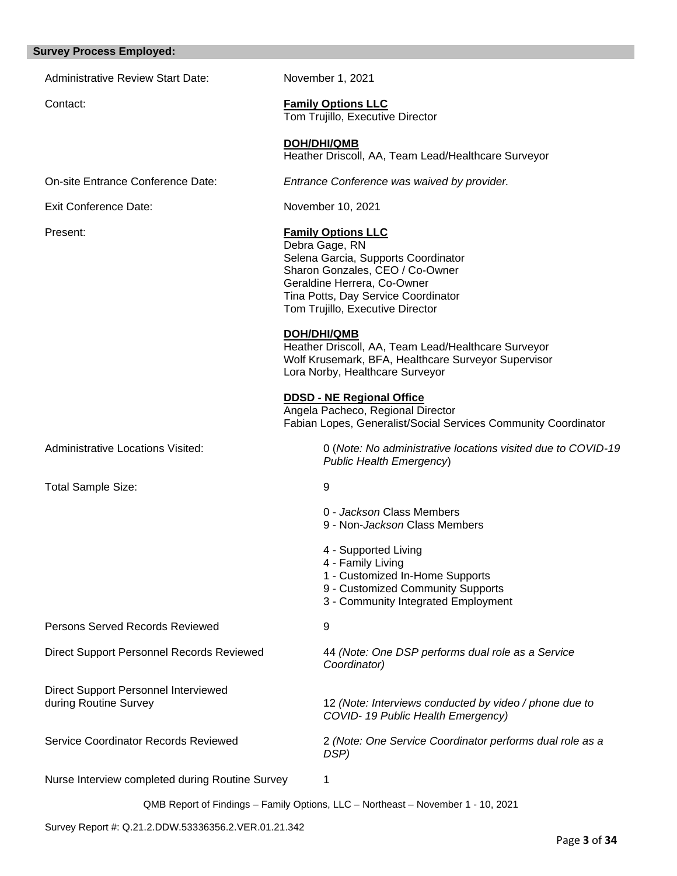#### **Survey Process Employed:**

Administrative Review Start Date: November 1, 2021

## Contact: **Family Options LLC**

Tom Trujillo, Executive Director

## **DOH/DHI/QMB**

Heather Driscoll, AA, Team Lead/Healthcare Surveyor

On-site Entrance Conference Date: *Entrance Conference was waived by provider.*

Exit Conference Date: November 10, 2021

#### Present: **Family Options LLC**

Debra Gage, RN Selena Garcia, Supports Coordinator Sharon Gonzales, CEO / Co-Owner Geraldine Herrera, Co-Owner Tina Potts, Day Service Coordinator Tom Trujillo, Executive Director

#### **DOH/DHI/QMB**

Heather Driscoll, AA, Team Lead/Healthcare Surveyor Wolf Krusemark, BFA, Healthcare Surveyor Supervisor Lora Norby, Healthcare Surveyor

#### **DDSD - NE Regional Office**

Angela Pacheco, Regional Director Fabian Lopes, Generalist/Social Services Community Coordinator

Administrative Locations Visited: 0 (*Note: No administrative locations visited due to COVID-19* 

Total Sample Size: 9

4 - Family Living

4 - Supported Living

*Public Health Emergency*)

0 - *Jackson* Class Members 9 - Non-*Jackson* Class Members

- 1 Customized In-Home Supports
- 9 Customized Community Supports
- 3 Community Integrated Employment

Persons Served Records Reviewed 9

Direct Support Personnel Interviewed

Direct Support Personnel Records Reviewed 44 *(Note: One DSP performs dual role as a Service Coordinator)*

during Routine Survey 12 *(Note: Interviews conducted by video / phone due to COVID- 19 Public Health Emergency)*

Service Coordinator Records Reviewed 2 *(Note: One Service Coordinator performs dual role as a DSP)*

Nurse Interview completed during Routine Survey 1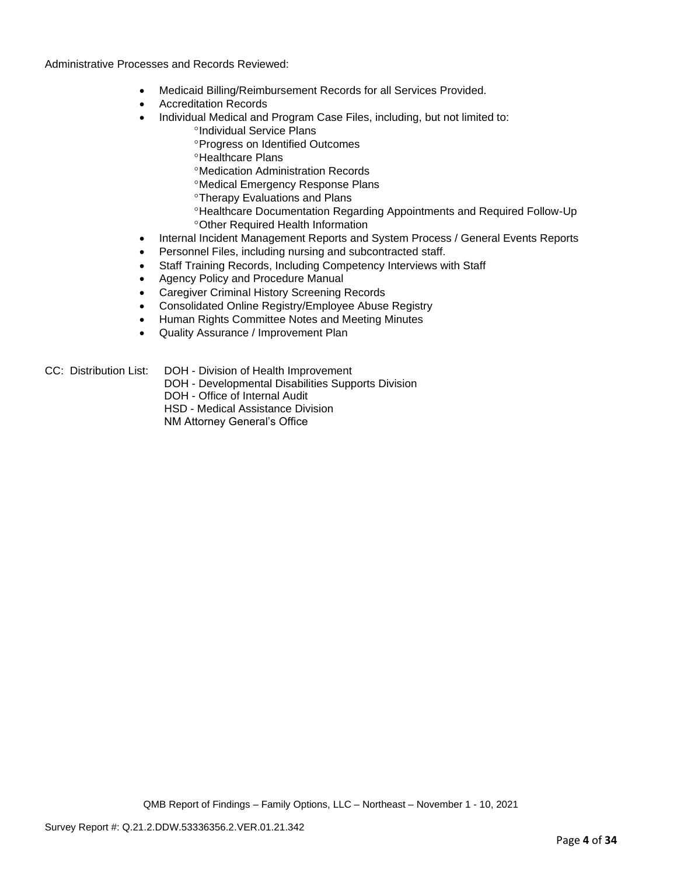Administrative Processes and Records Reviewed:

- Medicaid Billing/Reimbursement Records for all Services Provided.
- Accreditation Records
- Individual Medical and Program Case Files, including, but not limited to: <sup>o</sup>Individual Service Plans
	- **Progress on Identified Outcomes**
	- **<sup>o</sup>Healthcare Plans**
	- Medication Administration Records
	- Medical Emergency Response Plans
	- Therapy Evaluations and Plans
	- Healthcare Documentation Regarding Appointments and Required Follow-Up Other Required Health Information
- Internal Incident Management Reports and System Process / General Events Reports
- Personnel Files, including nursing and subcontracted staff.
- Staff Training Records, Including Competency Interviews with Staff
- Agency Policy and Procedure Manual
- Caregiver Criminal History Screening Records
- Consolidated Online Registry/Employee Abuse Registry
- Human Rights Committee Notes and Meeting Minutes
- Quality Assurance / Improvement Plan
- CC: Distribution List: DOH Division of Health Improvement
	- DOH Developmental Disabilities Supports Division
	- DOH Office of Internal Audit
	- HSD Medical Assistance Division
	- NM Attorney General's Office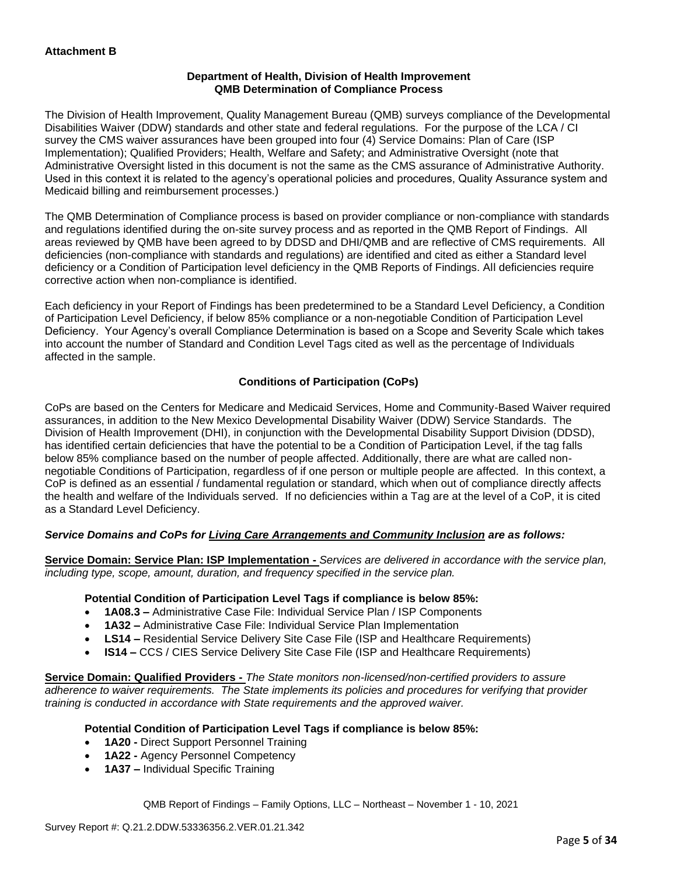## **Department of Health, Division of Health Improvement QMB Determination of Compliance Process**

The Division of Health Improvement, Quality Management Bureau (QMB) surveys compliance of the Developmental Disabilities Waiver (DDW) standards and other state and federal regulations. For the purpose of the LCA / CI survey the CMS waiver assurances have been grouped into four (4) Service Domains: Plan of Care (ISP Implementation); Qualified Providers; Health, Welfare and Safety; and Administrative Oversight (note that Administrative Oversight listed in this document is not the same as the CMS assurance of Administrative Authority. Used in this context it is related to the agency's operational policies and procedures, Quality Assurance system and Medicaid billing and reimbursement processes.)

The QMB Determination of Compliance process is based on provider compliance or non-compliance with standards and regulations identified during the on-site survey process and as reported in the QMB Report of Findings. All areas reviewed by QMB have been agreed to by DDSD and DHI/QMB and are reflective of CMS requirements. All deficiencies (non-compliance with standards and regulations) are identified and cited as either a Standard level deficiency or a Condition of Participation level deficiency in the QMB Reports of Findings. All deficiencies require corrective action when non-compliance is identified.

Each deficiency in your Report of Findings has been predetermined to be a Standard Level Deficiency, a Condition of Participation Level Deficiency, if below 85% compliance or a non-negotiable Condition of Participation Level Deficiency. Your Agency's overall Compliance Determination is based on a Scope and Severity Scale which takes into account the number of Standard and Condition Level Tags cited as well as the percentage of Individuals affected in the sample.

## **Conditions of Participation (CoPs)**

CoPs are based on the Centers for Medicare and Medicaid Services, Home and Community-Based Waiver required assurances, in addition to the New Mexico Developmental Disability Waiver (DDW) Service Standards. The Division of Health Improvement (DHI), in conjunction with the Developmental Disability Support Division (DDSD), has identified certain deficiencies that have the potential to be a Condition of Participation Level, if the tag falls below 85% compliance based on the number of people affected. Additionally, there are what are called nonnegotiable Conditions of Participation, regardless of if one person or multiple people are affected. In this context, a CoP is defined as an essential / fundamental regulation or standard, which when out of compliance directly affects the health and welfare of the Individuals served. If no deficiencies within a Tag are at the level of a CoP, it is cited as a Standard Level Deficiency.

## *Service Domains and CoPs for Living Care Arrangements and Community Inclusion are as follows:*

**Service Domain: Service Plan: ISP Implementation -** *Services are delivered in accordance with the service plan, including type, scope, amount, duration, and frequency specified in the service plan.*

#### **Potential Condition of Participation Level Tags if compliance is below 85%:**

- **1A08.3 –** Administrative Case File: Individual Service Plan / ISP Components
- **1A32 –** Administrative Case File: Individual Service Plan Implementation
- **LS14 –** Residential Service Delivery Site Case File (ISP and Healthcare Requirements)
- **IS14 –** CCS / CIES Service Delivery Site Case File (ISP and Healthcare Requirements)

**Service Domain: Qualified Providers -** *The State monitors non-licensed/non-certified providers to assure adherence to waiver requirements. The State implements its policies and procedures for verifying that provider training is conducted in accordance with State requirements and the approved waiver.*

#### **Potential Condition of Participation Level Tags if compliance is below 85%:**

- **1A20 -** Direct Support Personnel Training
- **1A22 -** Agency Personnel Competency
- **1A37 –** Individual Specific Training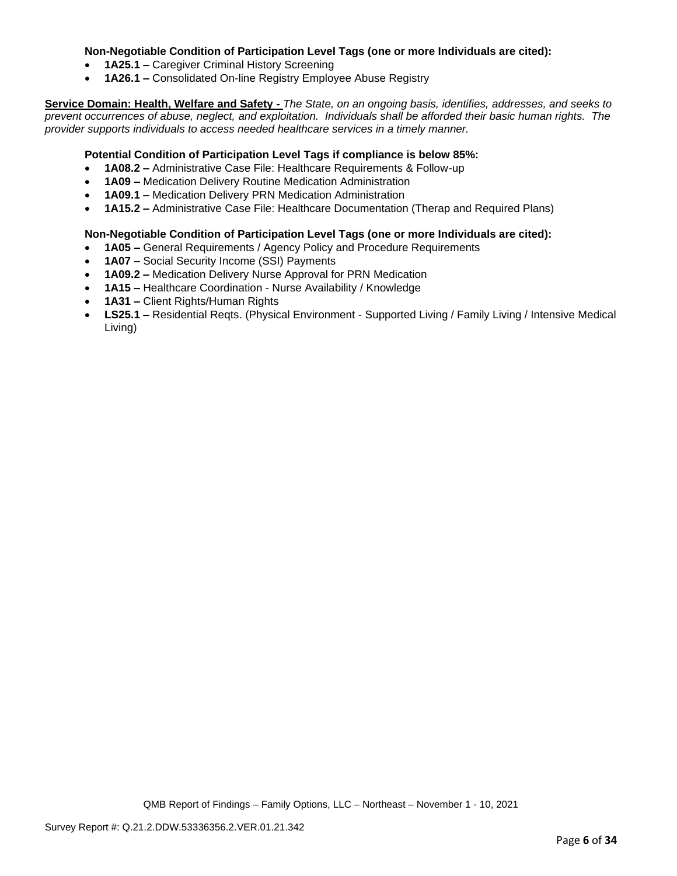## **Non-Negotiable Condition of Participation Level Tags (one or more Individuals are cited):**

- **1A25.1 –** Caregiver Criminal History Screening
- **1A26.1 –** Consolidated On-line Registry Employee Abuse Registry

**Service Domain: Health, Welfare and Safety -** *The State, on an ongoing basis, identifies, addresses, and seeks to prevent occurrences of abuse, neglect, and exploitation. Individuals shall be afforded their basic human rights. The provider supports individuals to access needed healthcare services in a timely manner.*

### **Potential Condition of Participation Level Tags if compliance is below 85%:**

- **1A08.2 –** Administrative Case File: Healthcare Requirements & Follow-up
- **1A09 –** Medication Delivery Routine Medication Administration
- **1A09.1 –** Medication Delivery PRN Medication Administration
- **1A15.2 –** Administrative Case File: Healthcare Documentation (Therap and Required Plans)

## **Non-Negotiable Condition of Participation Level Tags (one or more Individuals are cited):**

- **1A05 –** General Requirements / Agency Policy and Procedure Requirements
- **1A07 –** Social Security Income (SSI) Payments
- **1A09.2 –** Medication Delivery Nurse Approval for PRN Medication
- **1A15 –** Healthcare Coordination Nurse Availability / Knowledge
- **1A31 –** Client Rights/Human Rights
- **LS25.1 –** Residential Reqts. (Physical Environment Supported Living / Family Living / Intensive Medical Living)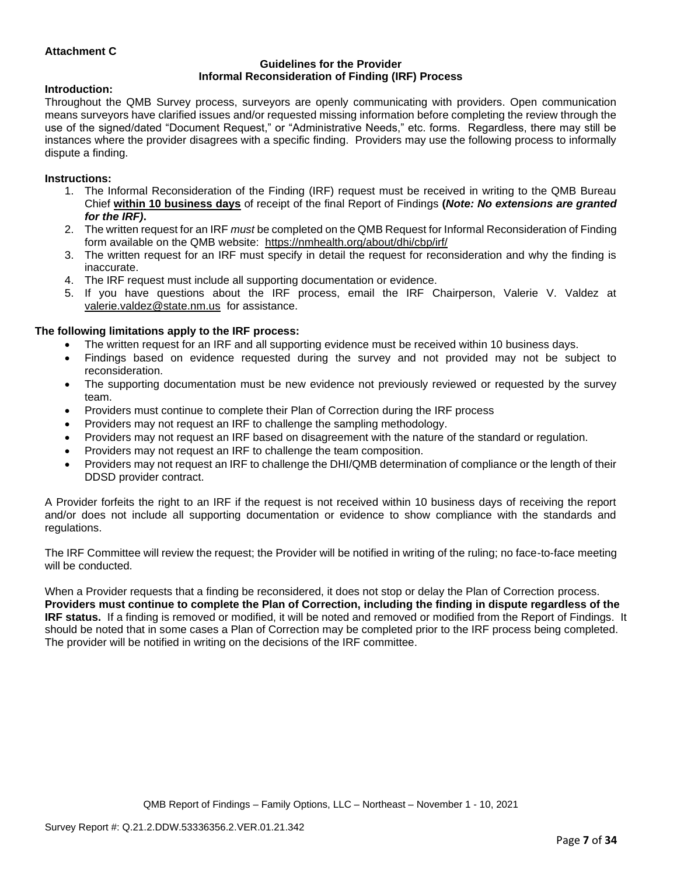## **Attachment C**

#### **Guidelines for the Provider Informal Reconsideration of Finding (IRF) Process**

#### **Introduction:**

Throughout the QMB Survey process, surveyors are openly communicating with providers. Open communication means surveyors have clarified issues and/or requested missing information before completing the review through the use of the signed/dated "Document Request," or "Administrative Needs," etc. forms. Regardless, there may still be instances where the provider disagrees with a specific finding. Providers may use the following process to informally dispute a finding.

#### **Instructions:**

- 1. The Informal Reconsideration of the Finding (IRF) request must be received in writing to the QMB Bureau Chief **within 10 business days** of receipt of the final Report of Findings **(***Note: No extensions are granted for the IRF)***.**
- 2. The written request for an IRF *must* be completed on the QMB Request for Informal Reconsideration of Finding form available on the QMB website: <https://nmhealth.org/about/dhi/cbp/irf/>
- 3. The written request for an IRF must specify in detail the request for reconsideration and why the finding is inaccurate.
- 4. The IRF request must include all supporting documentation or evidence.
- 5. If you have questions about the IRF process, email the IRF Chairperson, Valerie V. Valdez at [valerie.valdez@state.nm.us](mailto:valerie.valdez@state.nm.us) for assistance.

#### **The following limitations apply to the IRF process:**

- The written request for an IRF and all supporting evidence must be received within 10 business days.
- Findings based on evidence requested during the survey and not provided may not be subject to reconsideration.
- The supporting documentation must be new evidence not previously reviewed or requested by the survey team.
- Providers must continue to complete their Plan of Correction during the IRF process
- Providers may not request an IRF to challenge the sampling methodology.
- Providers may not request an IRF based on disagreement with the nature of the standard or regulation.
- Providers may not request an IRF to challenge the team composition.
- Providers may not request an IRF to challenge the DHI/QMB determination of compliance or the length of their DDSD provider contract.

A Provider forfeits the right to an IRF if the request is not received within 10 business days of receiving the report and/or does not include all supporting documentation or evidence to show compliance with the standards and regulations.

The IRF Committee will review the request; the Provider will be notified in writing of the ruling; no face-to-face meeting will be conducted.

When a Provider requests that a finding be reconsidered, it does not stop or delay the Plan of Correction process. **Providers must continue to complete the Plan of Correction, including the finding in dispute regardless of the IRF status.** If a finding is removed or modified, it will be noted and removed or modified from the Report of Findings. It should be noted that in some cases a Plan of Correction may be completed prior to the IRF process being completed. The provider will be notified in writing on the decisions of the IRF committee.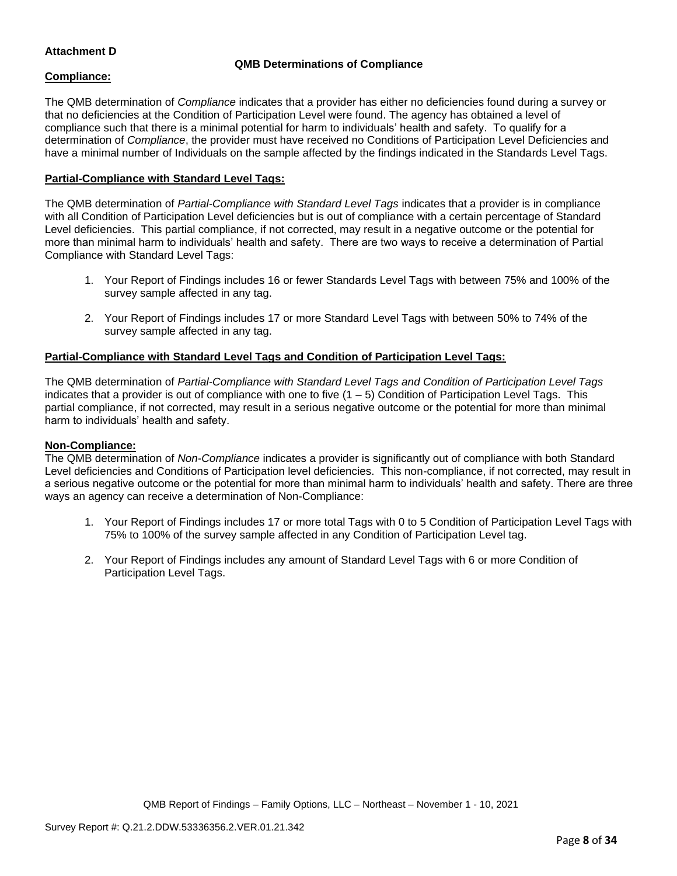## **Attachment D**

## **QMB Determinations of Compliance**

## **Compliance:**

The QMB determination of *Compliance* indicates that a provider has either no deficiencies found during a survey or that no deficiencies at the Condition of Participation Level were found. The agency has obtained a level of compliance such that there is a minimal potential for harm to individuals' health and safety. To qualify for a determination of *Compliance*, the provider must have received no Conditions of Participation Level Deficiencies and have a minimal number of Individuals on the sample affected by the findings indicated in the Standards Level Tags.

## **Partial-Compliance with Standard Level Tags:**

The QMB determination of *Partial-Compliance with Standard Level Tags* indicates that a provider is in compliance with all Condition of Participation Level deficiencies but is out of compliance with a certain percentage of Standard Level deficiencies. This partial compliance, if not corrected, may result in a negative outcome or the potential for more than minimal harm to individuals' health and safety. There are two ways to receive a determination of Partial Compliance with Standard Level Tags:

- 1. Your Report of Findings includes 16 or fewer Standards Level Tags with between 75% and 100% of the survey sample affected in any tag.
- 2. Your Report of Findings includes 17 or more Standard Level Tags with between 50% to 74% of the survey sample affected in any tag.

## **Partial-Compliance with Standard Level Tags and Condition of Participation Level Tags:**

The QMB determination of *Partial-Compliance with Standard Level Tags and Condition of Participation Level Tags*  indicates that a provider is out of compliance with one to five  $(1 - 5)$  Condition of Participation Level Tags. This partial compliance, if not corrected, may result in a serious negative outcome or the potential for more than minimal harm to individuals' health and safety.

#### **Non-Compliance:**

The QMB determination of *Non-Compliance* indicates a provider is significantly out of compliance with both Standard Level deficiencies and Conditions of Participation level deficiencies. This non-compliance, if not corrected, may result in a serious negative outcome or the potential for more than minimal harm to individuals' health and safety. There are three ways an agency can receive a determination of Non-Compliance:

- 1. Your Report of Findings includes 17 or more total Tags with 0 to 5 Condition of Participation Level Tags with 75% to 100% of the survey sample affected in any Condition of Participation Level tag.
- 2. Your Report of Findings includes any amount of Standard Level Tags with 6 or more Condition of Participation Level Tags.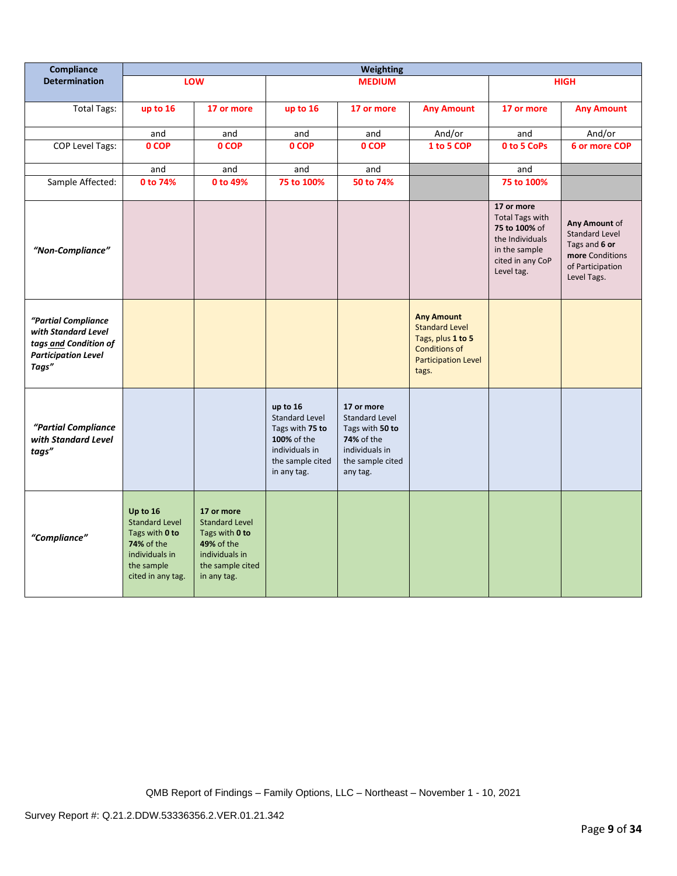| Compliance                                                                                                 | <b>Weighting</b>                                                                                                              |                                                                                                                          |                                                                                                                          |                                                                                                                               |                                                                                                                                |                                                                                                                             |                                                                                                               |
|------------------------------------------------------------------------------------------------------------|-------------------------------------------------------------------------------------------------------------------------------|--------------------------------------------------------------------------------------------------------------------------|--------------------------------------------------------------------------------------------------------------------------|-------------------------------------------------------------------------------------------------------------------------------|--------------------------------------------------------------------------------------------------------------------------------|-----------------------------------------------------------------------------------------------------------------------------|---------------------------------------------------------------------------------------------------------------|
| <b>Determination</b>                                                                                       |                                                                                                                               | LOW                                                                                                                      |                                                                                                                          | <b>MEDIUM</b>                                                                                                                 |                                                                                                                                |                                                                                                                             | <b>HIGH</b>                                                                                                   |
| <b>Total Tags:</b>                                                                                         | up to 16                                                                                                                      | 17 or more                                                                                                               | up to 16                                                                                                                 | 17 or more                                                                                                                    | <b>Any Amount</b>                                                                                                              | 17 or more                                                                                                                  | <b>Any Amount</b>                                                                                             |
|                                                                                                            | and                                                                                                                           | and                                                                                                                      | and                                                                                                                      | and                                                                                                                           | And/or                                                                                                                         | and                                                                                                                         | And/or                                                                                                        |
| <b>COP Level Tags:</b>                                                                                     | 0 COP                                                                                                                         | 0 COP                                                                                                                    | 0 COP                                                                                                                    | 0 COP                                                                                                                         | 1 to 5 COP                                                                                                                     | 0 to 5 CoPs                                                                                                                 | 6 or more COP                                                                                                 |
|                                                                                                            | and                                                                                                                           | and                                                                                                                      | and                                                                                                                      | and                                                                                                                           |                                                                                                                                | and                                                                                                                         |                                                                                                               |
| Sample Affected:                                                                                           | 0 to 74%                                                                                                                      | 0 to 49%                                                                                                                 | 75 to 100%                                                                                                               | 50 to 74%                                                                                                                     |                                                                                                                                | 75 to 100%                                                                                                                  |                                                                                                               |
| "Non-Compliance"                                                                                           |                                                                                                                               |                                                                                                                          |                                                                                                                          |                                                                                                                               |                                                                                                                                | 17 or more<br><b>Total Tags with</b><br>75 to 100% of<br>the Individuals<br>in the sample<br>cited in any CoP<br>Level tag. | Any Amount of<br><b>Standard Level</b><br>Tags and 6 or<br>more Conditions<br>of Participation<br>Level Tags. |
| "Partial Compliance<br>with Standard Level<br>tags and Condition of<br><b>Participation Level</b><br>Tags" |                                                                                                                               |                                                                                                                          |                                                                                                                          |                                                                                                                               | <b>Any Amount</b><br><b>Standard Level</b><br>Tags, plus 1 to 5<br><b>Conditions of</b><br><b>Participation Level</b><br>tags. |                                                                                                                             |                                                                                                               |
| "Partial Compliance<br>with Standard Level<br>tags"                                                        |                                                                                                                               |                                                                                                                          | up to 16<br><b>Standard Level</b><br>Tags with 75 to<br>100% of the<br>individuals in<br>the sample cited<br>in any tag. | 17 or more<br><b>Standard Level</b><br>Tags with 50 to<br><b>74%</b> of the<br>individuals in<br>the sample cited<br>any tag. |                                                                                                                                |                                                                                                                             |                                                                                                               |
| "Compliance"                                                                                               | Up to 16<br><b>Standard Level</b><br>Tags with 0 to<br><b>74% of the</b><br>individuals in<br>the sample<br>cited in any tag. | 17 or more<br><b>Standard Level</b><br>Tags with 0 to<br>49% of the<br>individuals in<br>the sample cited<br>in any tag. |                                                                                                                          |                                                                                                                               |                                                                                                                                |                                                                                                                             |                                                                                                               |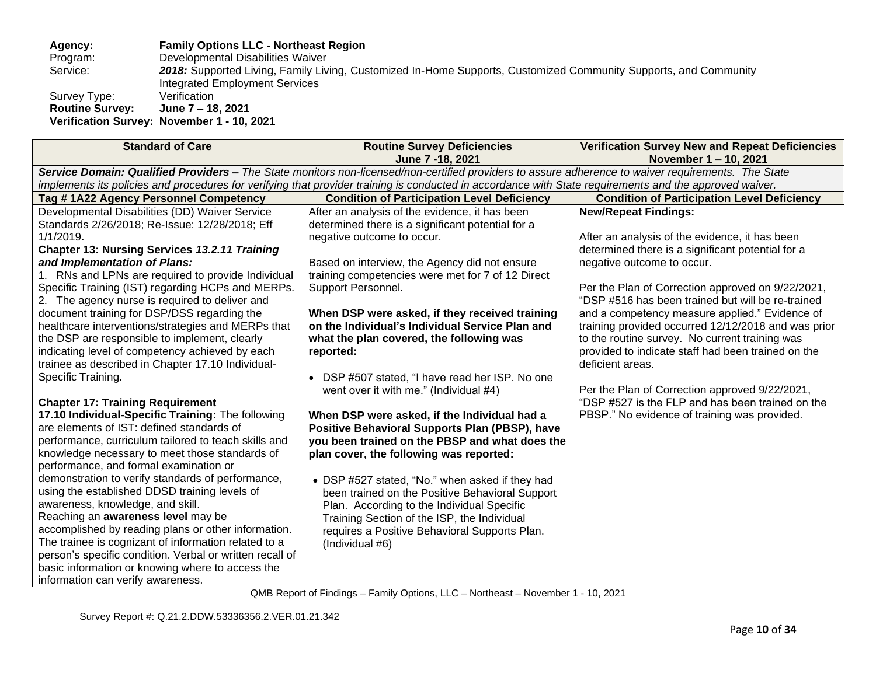**Agency: Family Options LLC - Northeast Region**

Program: Developmental Disabilities Waiver<br>Service: 2018: Supported Living, Family Liv

2018: Supported Living, Family Living, Customized In-Home Supports, Customized Community Supports, and Community Integrated Employment Services<br>Verification

Survey Type: Verification<br>Routine Survey: June 7 - 18, 2021 **Routine Survey: Verification Survey: November 1 - 10, 2021**

| <b>Standard of Care</b>                                                                                                                                                                                                                                                                                                                                                                                                                                                                                                                                                                                                                                                                                                                                                                                                                                                                                                                                                                                                                                                                                                                                                                                                                                                                                                                                                   | <b>Routine Survey Deficiencies</b><br>June 7 - 18, 2021                                                                                                                                                                                                                                                                                                                                                                                                                                                                                                                                                                                                                                                                                                                                                                                                                                                                                                                                        | <b>Verification Survey New and Repeat Deficiencies</b><br>November 1-10, 2021                                                                                                                                                                                                                                                                                                                                                                                                                                                                                                                                                                                         |  |  |  |
|---------------------------------------------------------------------------------------------------------------------------------------------------------------------------------------------------------------------------------------------------------------------------------------------------------------------------------------------------------------------------------------------------------------------------------------------------------------------------------------------------------------------------------------------------------------------------------------------------------------------------------------------------------------------------------------------------------------------------------------------------------------------------------------------------------------------------------------------------------------------------------------------------------------------------------------------------------------------------------------------------------------------------------------------------------------------------------------------------------------------------------------------------------------------------------------------------------------------------------------------------------------------------------------------------------------------------------------------------------------------------|------------------------------------------------------------------------------------------------------------------------------------------------------------------------------------------------------------------------------------------------------------------------------------------------------------------------------------------------------------------------------------------------------------------------------------------------------------------------------------------------------------------------------------------------------------------------------------------------------------------------------------------------------------------------------------------------------------------------------------------------------------------------------------------------------------------------------------------------------------------------------------------------------------------------------------------------------------------------------------------------|-----------------------------------------------------------------------------------------------------------------------------------------------------------------------------------------------------------------------------------------------------------------------------------------------------------------------------------------------------------------------------------------------------------------------------------------------------------------------------------------------------------------------------------------------------------------------------------------------------------------------------------------------------------------------|--|--|--|
| Service Domain: Qualified Providers - The State monitors non-licensed/non-certified providers to assure adherence to waiver requirements. The State                                                                                                                                                                                                                                                                                                                                                                                                                                                                                                                                                                                                                                                                                                                                                                                                                                                                                                                                                                                                                                                                                                                                                                                                                       |                                                                                                                                                                                                                                                                                                                                                                                                                                                                                                                                                                                                                                                                                                                                                                                                                                                                                                                                                                                                |                                                                                                                                                                                                                                                                                                                                                                                                                                                                                                                                                                                                                                                                       |  |  |  |
| implements its policies and procedures for verifying that provider training is conducted in accordance with State requirements and the approved waiver.                                                                                                                                                                                                                                                                                                                                                                                                                                                                                                                                                                                                                                                                                                                                                                                                                                                                                                                                                                                                                                                                                                                                                                                                                   |                                                                                                                                                                                                                                                                                                                                                                                                                                                                                                                                                                                                                                                                                                                                                                                                                                                                                                                                                                                                |                                                                                                                                                                                                                                                                                                                                                                                                                                                                                                                                                                                                                                                                       |  |  |  |
| Tag #1A22 Agency Personnel Competency                                                                                                                                                                                                                                                                                                                                                                                                                                                                                                                                                                                                                                                                                                                                                                                                                                                                                                                                                                                                                                                                                                                                                                                                                                                                                                                                     | <b>Condition of Participation Level Deficiency</b>                                                                                                                                                                                                                                                                                                                                                                                                                                                                                                                                                                                                                                                                                                                                                                                                                                                                                                                                             | <b>Condition of Participation Level Deficiency</b>                                                                                                                                                                                                                                                                                                                                                                                                                                                                                                                                                                                                                    |  |  |  |
| Developmental Disabilities (DD) Waiver Service<br>Standards 2/26/2018; Re-Issue: 12/28/2018; Eff<br>$1/1/2019$ .<br><b>Chapter 13: Nursing Services 13.2.11 Training</b><br>and Implementation of Plans:<br>1. RNs and LPNs are required to provide Individual<br>Specific Training (IST) regarding HCPs and MERPs.<br>2. The agency nurse is required to deliver and<br>document training for DSP/DSS regarding the<br>healthcare interventions/strategies and MERPs that<br>the DSP are responsible to implement, clearly<br>indicating level of competency achieved by each<br>trainee as described in Chapter 17.10 Individual-<br>Specific Training.<br><b>Chapter 17: Training Requirement</b><br>17.10 Individual-Specific Training: The following<br>are elements of IST: defined standards of<br>performance, curriculum tailored to teach skills and<br>knowledge necessary to meet those standards of<br>performance, and formal examination or<br>demonstration to verify standards of performance,<br>using the established DDSD training levels of<br>awareness, knowledge, and skill.<br>Reaching an awareness level may be<br>accomplished by reading plans or other information.<br>The trainee is cognizant of information related to a<br>person's specific condition. Verbal or written recall of<br>basic information or knowing where to access the | After an analysis of the evidence, it has been<br>determined there is a significant potential for a<br>negative outcome to occur.<br>Based on interview, the Agency did not ensure<br>training competencies were met for 7 of 12 Direct<br>Support Personnel.<br>When DSP were asked, if they received training<br>on the Individual's Individual Service Plan and<br>what the plan covered, the following was<br>reported:<br>• DSP #507 stated, "I have read her ISP. No one<br>went over it with me." (Individual #4)<br>When DSP were asked, if the Individual had a<br>Positive Behavioral Supports Plan (PBSP), have<br>you been trained on the PBSP and what does the<br>plan cover, the following was reported:<br>• DSP #527 stated, "No." when asked if they had<br>been trained on the Positive Behavioral Support<br>Plan. According to the Individual Specific<br>Training Section of the ISP, the Individual<br>requires a Positive Behavioral Supports Plan.<br>(Individual #6) | <b>New/Repeat Findings:</b><br>After an analysis of the evidence, it has been<br>determined there is a significant potential for a<br>negative outcome to occur.<br>Per the Plan of Correction approved on 9/22/2021,<br>"DSP #516 has been trained but will be re-trained<br>and a competency measure applied." Evidence of<br>training provided occurred 12/12/2018 and was prior<br>to the routine survey. No current training was<br>provided to indicate staff had been trained on the<br>deficient areas.<br>Per the Plan of Correction approved 9/22/2021,<br>"DSP #527 is the FLP and has been trained on the<br>PBSP." No evidence of training was provided. |  |  |  |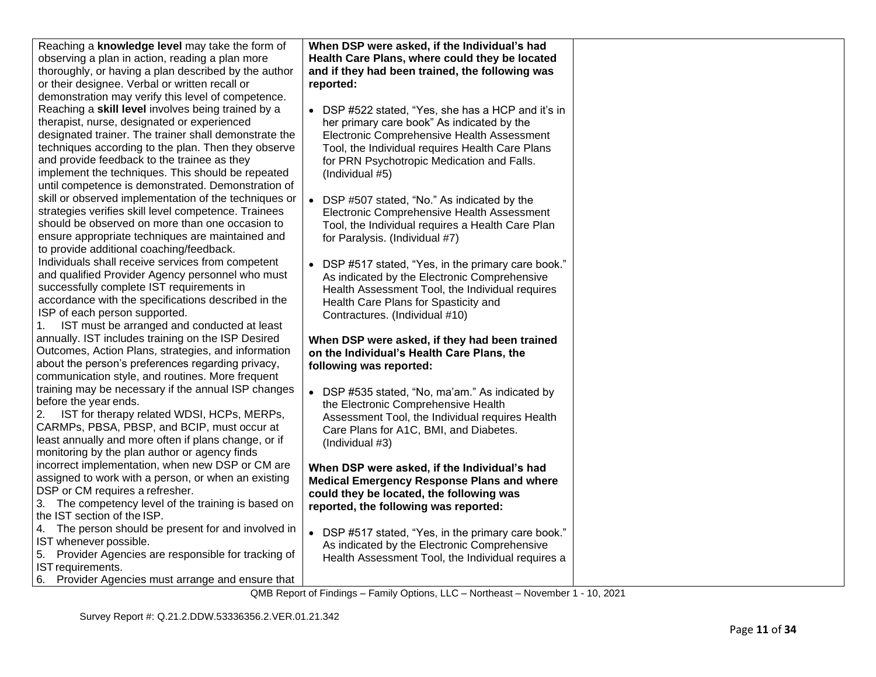| Reaching a knowledge level may take the form of<br>observing a plan in action, reading a plan more<br>thoroughly, or having a plan described by the author<br>or their designee. Verbal or written recall or<br>demonstration may verify this level of competence.                                                                                                          | When DSP were asked, if the Individual's had<br>Health Care Plans, where could they be located<br>and if they had been trained, the following was<br>reported:                                                                                                     |  |
|-----------------------------------------------------------------------------------------------------------------------------------------------------------------------------------------------------------------------------------------------------------------------------------------------------------------------------------------------------------------------------|--------------------------------------------------------------------------------------------------------------------------------------------------------------------------------------------------------------------------------------------------------------------|--|
| Reaching a skill level involves being trained by a<br>therapist, nurse, designated or experienced<br>designated trainer. The trainer shall demonstrate the<br>techniques according to the plan. Then they observe<br>and provide feedback to the trainee as they<br>implement the techniques. This should be repeated<br>until competence is demonstrated. Demonstration of | • DSP #522 stated, "Yes, she has a HCP and it's in<br>her primary care book" As indicated by the<br>Electronic Comprehensive Health Assessment<br>Tool, the Individual requires Health Care Plans<br>for PRN Psychotropic Medication and Falls.<br>(Individual #5) |  |
| skill or observed implementation of the techniques or<br>strategies verifies skill level competence. Trainees<br>should be observed on more than one occasion to<br>ensure appropriate techniques are maintained and<br>to provide additional coaching/feedback.                                                                                                            | DSP #507 stated, "No." As indicated by the<br>Electronic Comprehensive Health Assessment<br>Tool, the Individual requires a Health Care Plan<br>for Paralysis. (Individual #7)                                                                                     |  |
| Individuals shall receive services from competent<br>and qualified Provider Agency personnel who must<br>successfully complete IST requirements in<br>accordance with the specifications described in the<br>ISP of each person supported.<br>IST must be arranged and conducted at least<br>1.                                                                             | DSP #517 stated, "Yes, in the primary care book."<br>As indicated by the Electronic Comprehensive<br>Health Assessment Tool, the Individual requires<br>Health Care Plans for Spasticity and<br>Contractures. (Individual #10)                                     |  |
| annually. IST includes training on the ISP Desired<br>Outcomes, Action Plans, strategies, and information<br>about the person's preferences regarding privacy,                                                                                                                                                                                                              | When DSP were asked, if they had been trained<br>on the Individual's Health Care Plans, the<br>following was reported:                                                                                                                                             |  |
| communication style, and routines. More frequent<br>training may be necessary if the annual ISP changes<br>before the year ends.<br>IST for therapy related WDSI, HCPs, MERPs,<br>2.<br>CARMPs, PBSA, PBSP, and BCIP, must occur at<br>least annually and more often if plans change, or if<br>monitoring by the plan author or agency finds                                | • DSP #535 stated, "No, ma'am." As indicated by<br>the Electronic Comprehensive Health<br>Assessment Tool, the Individual requires Health<br>Care Plans for A1C, BMI, and Diabetes.<br>(Individual #3)                                                             |  |
| incorrect implementation, when new DSP or CM are<br>assigned to work with a person, or when an existing<br>DSP or CM requires a refresher.<br>3. The competency level of the training is based on<br>the IST section of the ISP.                                                                                                                                            | When DSP were asked, if the Individual's had<br><b>Medical Emergency Response Plans and where</b><br>could they be located, the following was<br>reported, the following was reported:                                                                             |  |
| 4. The person should be present for and involved in<br>IST whenever possible.<br>Provider Agencies are responsible for tracking of<br>5.<br>IST requirements.<br>6. Provider Agencies must arrange and ensure that                                                                                                                                                          | $\bullet$<br>DSP #517 stated, "Yes, in the primary care book."<br>As indicated by the Electronic Comprehensive<br>Health Assessment Tool, the Individual requires a                                                                                                |  |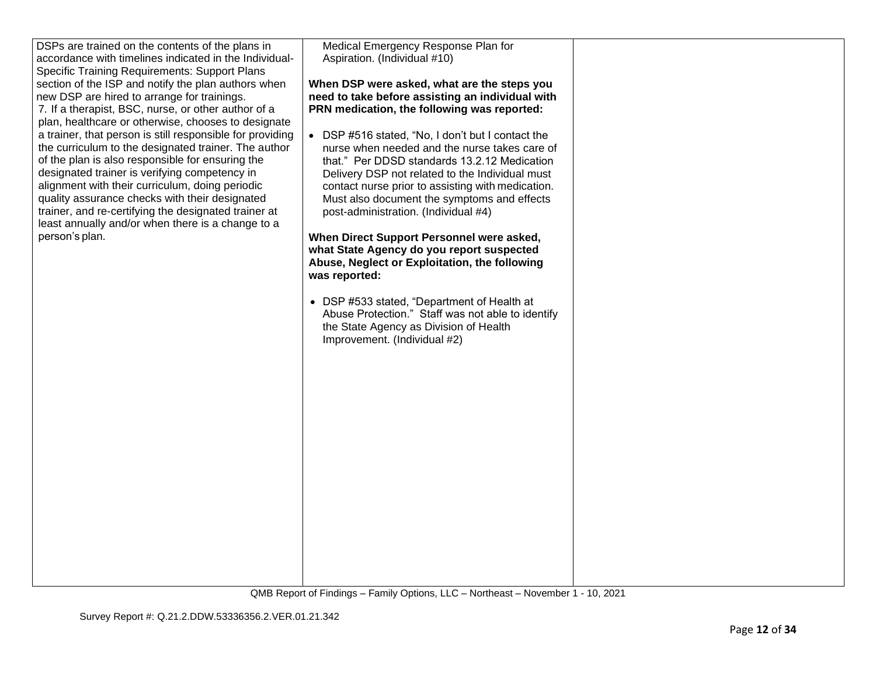| DSPs are trained on the contents of the plans in<br>accordance with timelines indicated in the Individual-<br><b>Specific Training Requirements: Support Plans</b><br>section of the ISP and notify the plan authors when<br>new DSP are hired to arrange for trainings.<br>7. If a therapist, BSC, nurse, or other author of a<br>plan, healthcare or otherwise, chooses to designate<br>a trainer, that person is still responsible for providing<br>the curriculum to the designated trainer. The author<br>of the plan is also responsible for ensuring the<br>designated trainer is verifying competency in<br>alignment with their curriculum, doing periodic<br>quality assurance checks with their designated<br>trainer, and re-certifying the designated trainer at<br>least annually and/or when there is a change to a<br>person's plan. | Medical Emergency Response Plan for<br>Aspiration. (Individual #10)<br>When DSP were asked, what are the steps you<br>need to take before assisting an individual with<br>PRN medication, the following was reported:<br>• DSP #516 stated, "No, I don't but I contact the<br>nurse when needed and the nurse takes care of<br>that." Per DDSD standards 13.2.12 Medication<br>Delivery DSP not related to the Individual must<br>contact nurse prior to assisting with medication.<br>Must also document the symptoms and effects<br>post-administration. (Individual #4)<br>When Direct Support Personnel were asked,<br>what State Agency do you report suspected<br>Abuse, Neglect or Exploitation, the following<br>was reported:<br>• DSP #533 stated, "Department of Health at<br>Abuse Protection." Staff was not able to identify<br>the State Agency as Division of Health<br>Improvement. (Individual #2) |  |
|------------------------------------------------------------------------------------------------------------------------------------------------------------------------------------------------------------------------------------------------------------------------------------------------------------------------------------------------------------------------------------------------------------------------------------------------------------------------------------------------------------------------------------------------------------------------------------------------------------------------------------------------------------------------------------------------------------------------------------------------------------------------------------------------------------------------------------------------------|----------------------------------------------------------------------------------------------------------------------------------------------------------------------------------------------------------------------------------------------------------------------------------------------------------------------------------------------------------------------------------------------------------------------------------------------------------------------------------------------------------------------------------------------------------------------------------------------------------------------------------------------------------------------------------------------------------------------------------------------------------------------------------------------------------------------------------------------------------------------------------------------------------------------|--|
|                                                                                                                                                                                                                                                                                                                                                                                                                                                                                                                                                                                                                                                                                                                                                                                                                                                      |                                                                                                                                                                                                                                                                                                                                                                                                                                                                                                                                                                                                                                                                                                                                                                                                                                                                                                                      |  |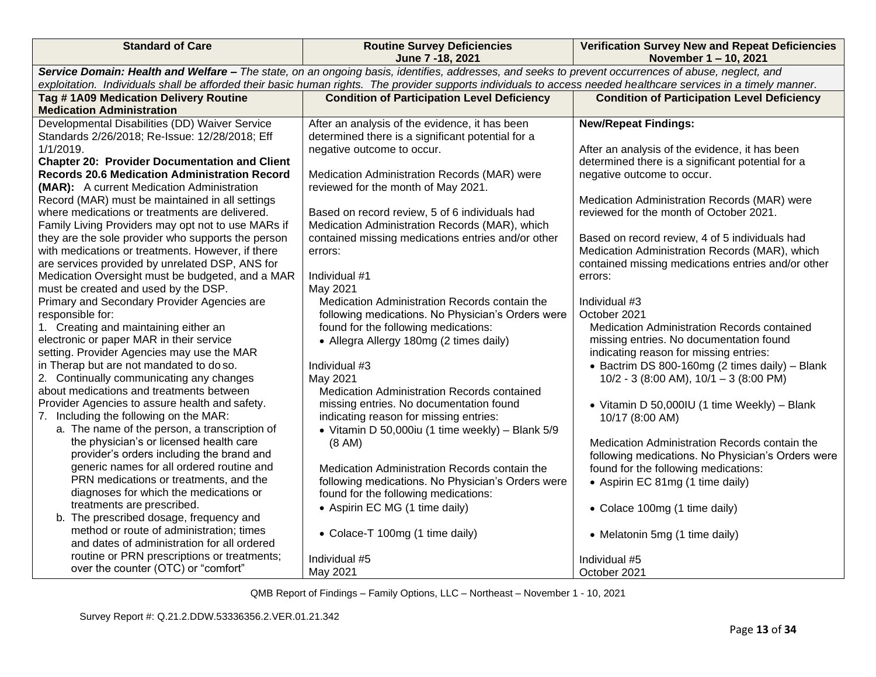| <b>Standard of Care</b>                                                                                                                                          | <b>Routine Survey Deficiencies</b><br>June 7 - 18, 2021                                              | <b>Verification Survey New and Repeat Deficiencies</b><br>November 1-10, 2021                    |  |  |  |
|------------------------------------------------------------------------------------------------------------------------------------------------------------------|------------------------------------------------------------------------------------------------------|--------------------------------------------------------------------------------------------------|--|--|--|
| Service Domain: Health and Welfare - The state, on an ongoing basis, identifies, addresses, and seeks to prevent occurrences of abuse, neglect, and              |                                                                                                      |                                                                                                  |  |  |  |
| exploitation. Individuals shall be afforded their basic human rights. The provider supports individuals to access needed healthcare services in a timely manner. |                                                                                                      |                                                                                                  |  |  |  |
| Tag #1A09 Medication Delivery Routine                                                                                                                            | <b>Condition of Participation Level Deficiency</b>                                                   | <b>Condition of Participation Level Deficiency</b>                                               |  |  |  |
| <b>Medication Administration</b>                                                                                                                                 |                                                                                                      |                                                                                                  |  |  |  |
| Developmental Disabilities (DD) Waiver Service                                                                                                                   | After an analysis of the evidence, it has been                                                       | <b>New/Repeat Findings:</b>                                                                      |  |  |  |
| Standards 2/26/2018; Re-Issue: 12/28/2018; Eff                                                                                                                   | determined there is a significant potential for a                                                    |                                                                                                  |  |  |  |
| 1/1/2019.                                                                                                                                                        | negative outcome to occur.                                                                           | After an analysis of the evidence, it has been                                                   |  |  |  |
| <b>Chapter 20: Provider Documentation and Client</b>                                                                                                             |                                                                                                      | determined there is a significant potential for a                                                |  |  |  |
| <b>Records 20.6 Medication Administration Record</b>                                                                                                             | Medication Administration Records (MAR) were                                                         | negative outcome to occur.                                                                       |  |  |  |
| (MAR): A current Medication Administration                                                                                                                       | reviewed for the month of May 2021.                                                                  |                                                                                                  |  |  |  |
| Record (MAR) must be maintained in all settings<br>where medications or treatments are delivered.                                                                |                                                                                                      | Medication Administration Records (MAR) were<br>reviewed for the month of October 2021.          |  |  |  |
|                                                                                                                                                                  | Based on record review, 5 of 6 individuals had                                                       |                                                                                                  |  |  |  |
| Family Living Providers may opt not to use MARs if<br>they are the sole provider who supports the person                                                         | Medication Administration Records (MAR), which<br>contained missing medications entries and/or other |                                                                                                  |  |  |  |
| with medications or treatments. However, if there                                                                                                                |                                                                                                      | Based on record review, 4 of 5 individuals had<br>Medication Administration Records (MAR), which |  |  |  |
| are services provided by unrelated DSP, ANS for                                                                                                                  | errors:                                                                                              | contained missing medications entries and/or other                                               |  |  |  |
| Medication Oversight must be budgeted, and a MAR                                                                                                                 | Individual #1                                                                                        | errors:                                                                                          |  |  |  |
| must be created and used by the DSP.                                                                                                                             | May 2021                                                                                             |                                                                                                  |  |  |  |
| Primary and Secondary Provider Agencies are                                                                                                                      | Medication Administration Records contain the                                                        | Individual #3                                                                                    |  |  |  |
| responsible for:                                                                                                                                                 | following medications. No Physician's Orders were                                                    | October 2021                                                                                     |  |  |  |
| 1. Creating and maintaining either an                                                                                                                            | found for the following medications:                                                                 | Medication Administration Records contained                                                      |  |  |  |
| electronic or paper MAR in their service                                                                                                                         | • Allegra Allergy 180mg (2 times daily)                                                              | missing entries. No documentation found                                                          |  |  |  |
| setting. Provider Agencies may use the MAR                                                                                                                       |                                                                                                      | indicating reason for missing entries:                                                           |  |  |  |
| in Therap but are not mandated to do so.                                                                                                                         | Individual #3                                                                                        | • Bactrim DS 800-160mg (2 times daily) - Blank                                                   |  |  |  |
| 2. Continually communicating any changes                                                                                                                         | May 2021                                                                                             | 10/2 - 3 (8:00 AM), $10/1 - 3$ (8:00 PM)                                                         |  |  |  |
| about medications and treatments between                                                                                                                         | Medication Administration Records contained                                                          |                                                                                                  |  |  |  |
| Provider Agencies to assure health and safety.                                                                                                                   | missing entries. No documentation found                                                              | • Vitamin D 50,000IU (1 time Weekly) - Blank                                                     |  |  |  |
| 7. Including the following on the MAR:                                                                                                                           | indicating reason for missing entries:                                                               | 10/17 (8:00 AM)                                                                                  |  |  |  |
| a. The name of the person, a transcription of                                                                                                                    | • Vitamin D 50,000iu (1 time weekly) - Blank 5/9                                                     |                                                                                                  |  |  |  |
| the physician's or licensed health care                                                                                                                          | (8 AM)                                                                                               | Medication Administration Records contain the                                                    |  |  |  |
| provider's orders including the brand and                                                                                                                        |                                                                                                      | following medications. No Physician's Orders were                                                |  |  |  |
| generic names for all ordered routine and                                                                                                                        | Medication Administration Records contain the                                                        | found for the following medications:                                                             |  |  |  |
| PRN medications or treatments, and the                                                                                                                           | following medications. No Physician's Orders were                                                    | • Aspirin EC 81mg (1 time daily)                                                                 |  |  |  |
| diagnoses for which the medications or                                                                                                                           | found for the following medications:                                                                 |                                                                                                  |  |  |  |
| treatments are prescribed.                                                                                                                                       | • Aspirin EC MG (1 time daily)                                                                       | • Colace 100mg (1 time daily)                                                                    |  |  |  |
| b. The prescribed dosage, frequency and                                                                                                                          |                                                                                                      |                                                                                                  |  |  |  |
| method or route of administration; times                                                                                                                         | • Colace-T 100mg (1 time daily)                                                                      | • Melatonin 5mg (1 time daily)                                                                   |  |  |  |
| and dates of administration for all ordered                                                                                                                      |                                                                                                      |                                                                                                  |  |  |  |
| routine or PRN prescriptions or treatments;                                                                                                                      | Individual #5                                                                                        | Individual #5                                                                                    |  |  |  |
| over the counter (OTC) or "comfort"                                                                                                                              | May 2021                                                                                             | October 2021                                                                                     |  |  |  |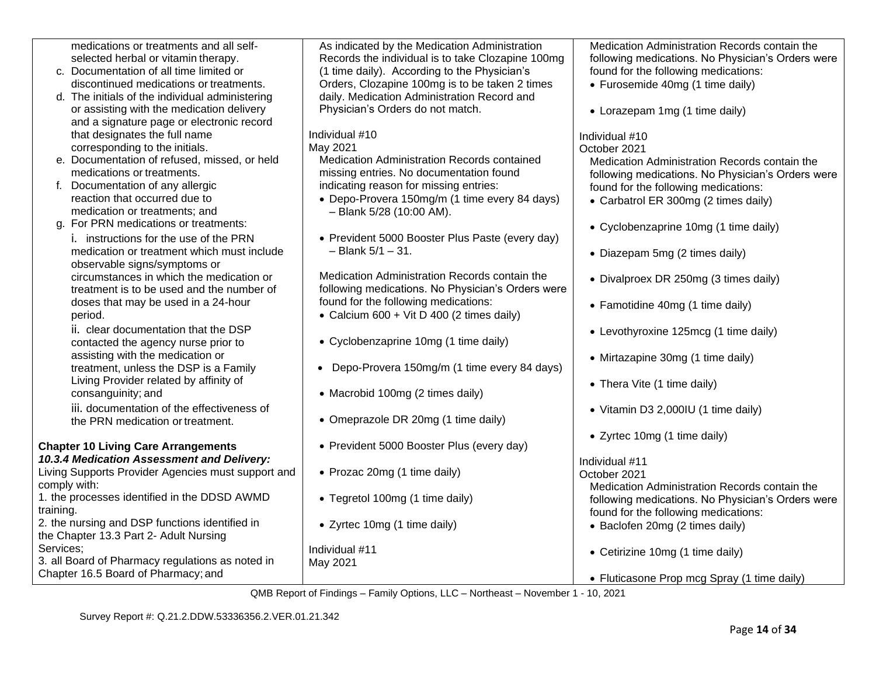| medications or treatments and all self-            | As indicated by the Medication Administration      | Medication Administration Records contain the     |
|----------------------------------------------------|----------------------------------------------------|---------------------------------------------------|
| selected herbal or vitamin therapy.                | Records the individual is to take Clozapine 100mg  | following medications. No Physician's Orders were |
| c. Documentation of all time limited or            | (1 time daily). According to the Physician's       | found for the following medications:              |
| discontinued medications or treatments.            | Orders, Clozapine 100mg is to be taken 2 times     | • Furosemide 40mg (1 time daily)                  |
| d. The initials of the individual administering    | daily. Medication Administration Record and        |                                                   |
| or assisting with the medication delivery          | Physician's Orders do not match.                   | • Lorazepam 1mg (1 time daily)                    |
| and a signature page or electronic record          |                                                    |                                                   |
| that designates the full name                      | Individual #10                                     | Individual #10                                    |
| corresponding to the initials.                     | May 2021                                           | October 2021                                      |
| e. Documentation of refused, missed, or held       | Medication Administration Records contained        | Medication Administration Records contain the     |
| medications or treatments.                         | missing entries. No documentation found            | following medications. No Physician's Orders were |
| f. Documentation of any allergic                   | indicating reason for missing entries:             | found for the following medications:              |
| reaction that occurred due to                      | • Depo-Provera 150mg/m (1 time every 84 days)      | • Carbatrol ER 300mg (2 times daily)              |
| medication or treatments; and                      | $-$ Blank 5/28 (10:00 AM).                         |                                                   |
| g. For PRN medications or treatments:              |                                                    | • Cyclobenzaprine 10mg (1 time daily)             |
| i. instructions for the use of the PRN             | • Prevident 5000 Booster Plus Paste (every day)    |                                                   |
| medication or treatment which must include         | $-$ Blank $5/1 - 31$ .                             | • Diazepam 5mg (2 times daily)                    |
| observable signs/symptoms or                       |                                                    |                                                   |
| circumstances in which the medication or           | Medication Administration Records contain the      | • Divalproex DR 250mg (3 times daily)             |
| treatment is to be used and the number of          | following medications. No Physician's Orders were  |                                                   |
| doses that may be used in a 24-hour                | found for the following medications:               | • Famotidine 40mg (1 time daily)                  |
| period.                                            | • Calcium $600 + \text{Vit} D 400$ (2 times daily) |                                                   |
| ii. clear documentation that the DSP               |                                                    | • Levothyroxine 125mcg (1 time daily)             |
| contacted the agency nurse prior to                | • Cyclobenzaprine 10mg (1 time daily)              |                                                   |
| assisting with the medication or                   |                                                    | • Mirtazapine 30mg (1 time daily)                 |
| treatment, unless the DSP is a Family              | • Depo-Provera 150mg/m (1 time every 84 days)      |                                                   |
| Living Provider related by affinity of             |                                                    | • Thera Vite (1 time daily)                       |
| consanguinity; and                                 | • Macrobid 100mg (2 times daily)                   |                                                   |
| iii. documentation of the effectiveness of         |                                                    | • Vitamin D3 2,000IU (1 time daily)               |
| the PRN medication or treatment.                   | • Omeprazole DR 20mg (1 time daily)                |                                                   |
|                                                    |                                                    | • Zyrtec 10mg (1 time daily)                      |
| <b>Chapter 10 Living Care Arrangements</b>         | • Prevident 5000 Booster Plus (every day)          |                                                   |
| 10.3.4 Medication Assessment and Delivery:         |                                                    | Individual #11                                    |
| Living Supports Provider Agencies must support and | • Prozac 20mg (1 time daily)                       | October 2021                                      |
| comply with:                                       |                                                    | Medication Administration Records contain the     |
| 1. the processes identified in the DDSD AWMD       | • Tegretol 100mg (1 time daily)                    | following medications. No Physician's Orders were |
| training.                                          |                                                    | found for the following medications:              |
| 2. the nursing and DSP functions identified in     | • Zyrtec 10mg (1 time daily)                       | • Baclofen 20mg (2 times daily)                   |
| the Chapter 13.3 Part 2- Adult Nursing             |                                                    |                                                   |
| Services;                                          | Individual #11                                     | • Cetirizine 10mg (1 time daily)                  |
| 3. all Board of Pharmacy regulations as noted in   | May 2021                                           |                                                   |
| Chapter 16.5 Board of Pharmacy; and                |                                                    | • Fluticasone Prop mcg Spray (1 time daily)       |
|                                                    |                                                    |                                                   |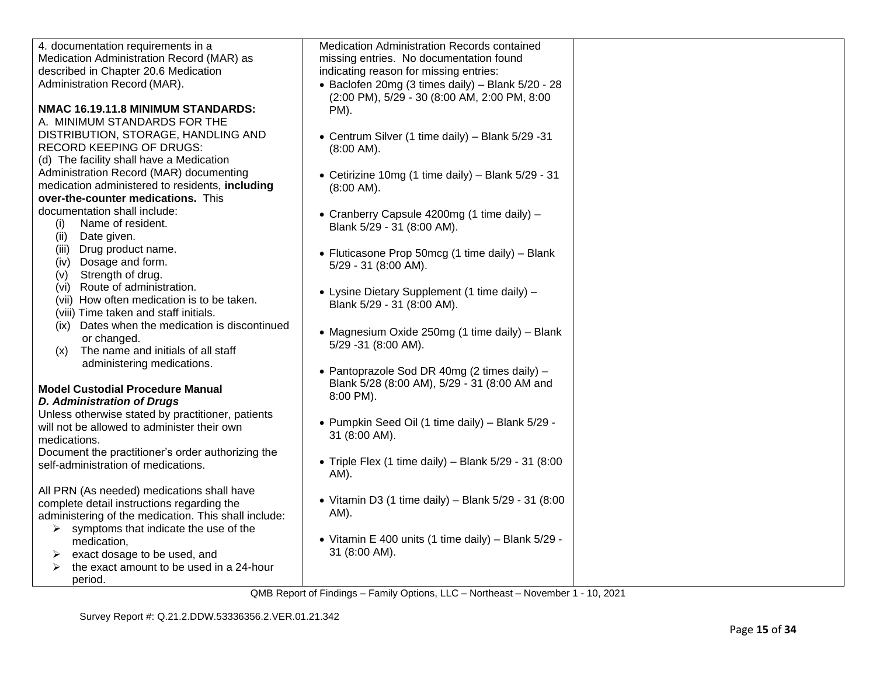| 4. documentation requirements in a                   | Medication Administration Records contained            |  |
|------------------------------------------------------|--------------------------------------------------------|--|
| Medication Administration Record (MAR) as            | missing entries. No documentation found                |  |
| described in Chapter 20.6 Medication                 | indicating reason for missing entries:                 |  |
| Administration Record (MAR).                         | • Baclofen 20mg (3 times daily) - Blank $5/20 - 28$    |  |
|                                                      | (2:00 PM), 5/29 - 30 (8:00 AM, 2:00 PM, 8:00           |  |
| NMAC 16.19.11.8 MINIMUM STANDARDS:                   | PM).                                                   |  |
| A. MINIMUM STANDARDS FOR THE                         |                                                        |  |
| DISTRIBUTION, STORAGE, HANDLING AND                  | • Centrum Silver (1 time daily) - Blank 5/29 -31       |  |
| <b>RECORD KEEPING OF DRUGS:</b>                      | $(8:00$ AM).                                           |  |
| (d) The facility shall have a Medication             |                                                        |  |
| Administration Record (MAR) documenting              | • Cetirizine 10mg (1 time daily) - Blank $5/29 - 31$   |  |
| medication administered to residents, including      | $(8:00$ AM).                                           |  |
| over-the-counter medications. This                   |                                                        |  |
| documentation shall include:                         |                                                        |  |
| Name of resident.<br>(i)                             | • Cranberry Capsule 4200mg (1 time daily) -            |  |
| Date given.<br>(ii)                                  | Blank 5/29 - 31 (8:00 AM).                             |  |
| (iii) Drug product name.                             |                                                        |  |
| (iv) Dosage and form.                                | • Fluticasone Prop 50mcg (1 time daily) - Blank        |  |
| Strength of drug.                                    | 5/29 - 31 (8:00 AM).                                   |  |
| (v)<br>(vi) Route of administration.                 |                                                        |  |
|                                                      | • Lysine Dietary Supplement (1 time daily) –           |  |
| (vii) How often medication is to be taken.           | Blank 5/29 - 31 (8:00 AM).                             |  |
| (viii) Time taken and staff initials.                |                                                        |  |
| (ix) Dates when the medication is discontinued       | • Magnesium Oxide 250mg (1 time daily) - Blank         |  |
| or changed.                                          | 5/29 -31 (8:00 AM).                                    |  |
| The name and initials of all staff<br>(x)            |                                                        |  |
| administering medications.                           | • Pantoprazole Sod DR 40mg (2 times daily) –           |  |
|                                                      | Blank 5/28 (8:00 AM), 5/29 - 31 (8:00 AM and           |  |
| <b>Model Custodial Procedure Manual</b>              | 8:00 PM).                                              |  |
| <b>D. Administration of Drugs</b>                    |                                                        |  |
| Unless otherwise stated by practitioner, patients    |                                                        |  |
| will not be allowed to administer their own          | • Pumpkin Seed Oil (1 time daily) - Blank 5/29 -       |  |
| medications.                                         | 31 (8:00 AM).                                          |  |
| Document the practitioner's order authorizing the    |                                                        |  |
| self-administration of medications.                  | • Triple Flex (1 time daily) - Blank $5/29 - 31$ (8:00 |  |
|                                                      | AM).                                                   |  |
| All PRN (As needed) medications shall have           |                                                        |  |
| complete detail instructions regarding the           | • Vitamin D3 (1 time daily) – Blank $5/29 - 31$ (8:00  |  |
| administering of the medication. This shall include: | AM).                                                   |  |
| symptoms that indicate the use of the<br>➤           |                                                        |  |
| medication,                                          | • Vitamin E 400 units (1 time daily) – Blank $5/29$ -  |  |
| exact dosage to be used, and<br>➤                    | 31 (8:00 AM).                                          |  |
| the exact amount to be used in a 24-hour             |                                                        |  |
| period.                                              |                                                        |  |
|                                                      |                                                        |  |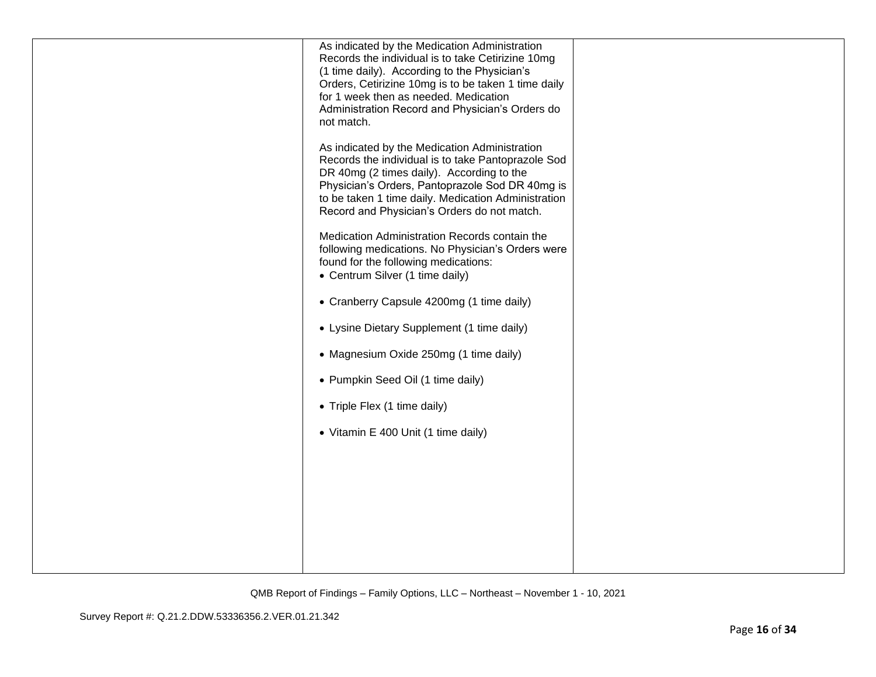| As indicated by the Medication Administration<br>Records the individual is to take Cetirizine 10mg                                                                                                                                                                                                        |  |
|-----------------------------------------------------------------------------------------------------------------------------------------------------------------------------------------------------------------------------------------------------------------------------------------------------------|--|
| (1 time daily). According to the Physician's<br>Orders, Cetirizine 10mg is to be taken 1 time daily                                                                                                                                                                                                       |  |
| for 1 week then as needed. Medication                                                                                                                                                                                                                                                                     |  |
| Administration Record and Physician's Orders do<br>not match.                                                                                                                                                                                                                                             |  |
| As indicated by the Medication Administration<br>Records the individual is to take Pantoprazole Sod<br>DR 40mg (2 times daily). According to the<br>Physician's Orders, Pantoprazole Sod DR 40mg is<br>to be taken 1 time daily. Medication Administration<br>Record and Physician's Orders do not match. |  |
| Medication Administration Records contain the<br>following medications. No Physician's Orders were<br>found for the following medications:<br>• Centrum Silver (1 time daily)                                                                                                                             |  |
| • Cranberry Capsule 4200mg (1 time daily)                                                                                                                                                                                                                                                                 |  |
| • Lysine Dietary Supplement (1 time daily)                                                                                                                                                                                                                                                                |  |
| • Magnesium Oxide 250mg (1 time daily)                                                                                                                                                                                                                                                                    |  |
| • Pumpkin Seed Oil (1 time daily)                                                                                                                                                                                                                                                                         |  |
| • Triple Flex (1 time daily)                                                                                                                                                                                                                                                                              |  |
| • Vitamin E 400 Unit (1 time daily)                                                                                                                                                                                                                                                                       |  |
|                                                                                                                                                                                                                                                                                                           |  |
|                                                                                                                                                                                                                                                                                                           |  |
|                                                                                                                                                                                                                                                                                                           |  |
|                                                                                                                                                                                                                                                                                                           |  |
|                                                                                                                                                                                                                                                                                                           |  |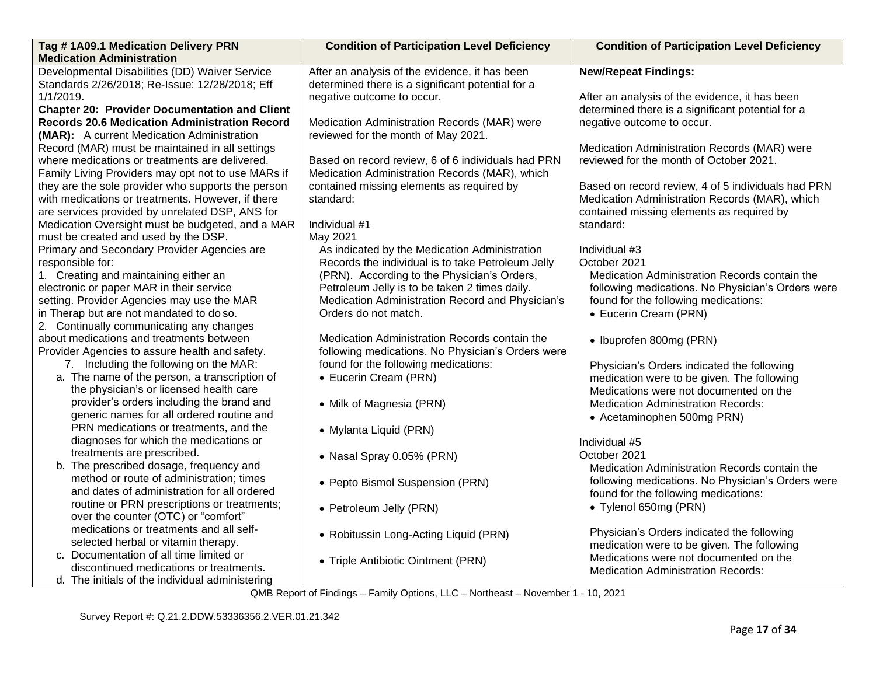| Tag #1A09.1 Medication Delivery PRN                                                 | <b>Condition of Participation Level Deficiency</b> | <b>Condition of Participation Level Deficiency</b>                                   |
|-------------------------------------------------------------------------------------|----------------------------------------------------|--------------------------------------------------------------------------------------|
| <b>Medication Administration</b>                                                    |                                                    |                                                                                      |
| Developmental Disabilities (DD) Waiver Service                                      | After an analysis of the evidence, it has been     | <b>New/Repeat Findings:</b>                                                          |
| Standards 2/26/2018; Re-Issue: 12/28/2018; Eff                                      | determined there is a significant potential for a  |                                                                                      |
| 1/1/2019.                                                                           | negative outcome to occur.                         | After an analysis of the evidence, it has been                                       |
| <b>Chapter 20: Provider Documentation and Client</b>                                |                                                    | determined there is a significant potential for a                                    |
| <b>Records 20.6 Medication Administration Record</b>                                | Medication Administration Records (MAR) were       | negative outcome to occur.                                                           |
| (MAR): A current Medication Administration                                          | reviewed for the month of May 2021.                |                                                                                      |
| Record (MAR) must be maintained in all settings                                     |                                                    | Medication Administration Records (MAR) were                                         |
| where medications or treatments are delivered.                                      | Based on record review, 6 of 6 individuals had PRN | reviewed for the month of October 2021.                                              |
| Family Living Providers may opt not to use MARs if                                  | Medication Administration Records (MAR), which     |                                                                                      |
| they are the sole provider who supports the person                                  | contained missing elements as required by          | Based on record review, 4 of 5 individuals had PRN                                   |
| with medications or treatments. However, if there                                   | standard:                                          | Medication Administration Records (MAR), which                                       |
| are services provided by unrelated DSP, ANS for                                     |                                                    | contained missing elements as required by                                            |
| Medication Oversight must be budgeted, and a MAR                                    | Individual #1                                      | standard:                                                                            |
| must be created and used by the DSP.                                                | May 2021                                           |                                                                                      |
| Primary and Secondary Provider Agencies are                                         | As indicated by the Medication Administration      | Individual #3                                                                        |
| responsible for:                                                                    | Records the individual is to take Petroleum Jelly  | October 2021                                                                         |
| 1. Creating and maintaining either an                                               | (PRN). According to the Physician's Orders,        | Medication Administration Records contain the                                        |
| electronic or paper MAR in their service                                            | Petroleum Jelly is to be taken 2 times daily.      | following medications. No Physician's Orders were                                    |
| setting. Provider Agencies may use the MAR                                          | Medication Administration Record and Physician's   | found for the following medications:                                                 |
| in Therap but are not mandated to do so.                                            | Orders do not match.                               | • Eucerin Cream (PRN)                                                                |
| 2. Continually communicating any changes                                            |                                                    |                                                                                      |
| about medications and treatments between                                            | Medication Administration Records contain the      | • Ibuprofen 800mg (PRN)                                                              |
| Provider Agencies to assure health and safety.                                      | following medications. No Physician's Orders were  |                                                                                      |
| 7. Including the following on the MAR:                                              | found for the following medications:               | Physician's Orders indicated the following                                           |
| a. The name of the person, a transcription of                                       | • Eucerin Cream (PRN)                              | medication were to be given. The following                                           |
| the physician's or licensed health care                                             |                                                    | Medications were not documented on the                                               |
| provider's orders including the brand and                                           | • Milk of Magnesia (PRN)                           | <b>Medication Administration Records:</b>                                            |
| generic names for all ordered routine and                                           |                                                    | • Acetaminophen 500mg PRN)                                                           |
| PRN medications or treatments, and the                                              | • Mylanta Liquid (PRN)                             |                                                                                      |
| diagnoses for which the medications or                                              |                                                    | Individual #5                                                                        |
| treatments are prescribed.                                                          | • Nasal Spray 0.05% (PRN)                          | October 2021                                                                         |
| b. The prescribed dosage, frequency and<br>method or route of administration; times |                                                    | Medication Administration Records contain the                                        |
| and dates of administration for all ordered                                         | • Pepto Bismol Suspension (PRN)                    | following medications. No Physician's Orders were                                    |
| routine or PRN prescriptions or treatments;                                         |                                                    | found for the following medications:                                                 |
| over the counter (OTC) or "comfort"                                                 | • Petroleum Jelly (PRN)                            | • Tylenol 650mg (PRN)                                                                |
| medications or treatments and all self-                                             |                                                    |                                                                                      |
| selected herbal or vitamin therapy.                                                 | • Robitussin Long-Acting Liquid (PRN)              | Physician's Orders indicated the following                                           |
| c. Documentation of all time limited or                                             |                                                    | medication were to be given. The following<br>Medications were not documented on the |
| discontinued medications or treatments.                                             | • Triple Antibiotic Ointment (PRN)                 | <b>Medication Administration Records:</b>                                            |
| d. The initials of the individual administering                                     |                                                    |                                                                                      |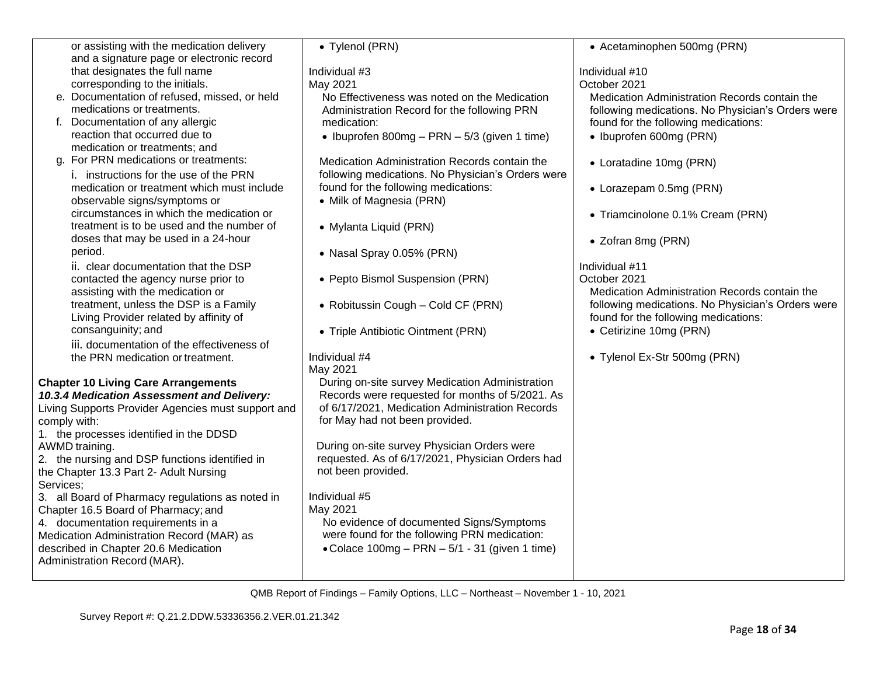| or assisting with the medication delivery          | • Tylenol (PRN)                                   | • Acetaminophen 500mg (PRN)                       |
|----------------------------------------------------|---------------------------------------------------|---------------------------------------------------|
| and a signature page or electronic record          |                                                   |                                                   |
| that designates the full name                      | Individual #3                                     | Individual #10                                    |
| corresponding to the initials.                     | May 2021                                          | October 2021                                      |
| e. Documentation of refused, missed, or held       | No Effectiveness was noted on the Medication      | Medication Administration Records contain the     |
| medications or treatments.                         | Administration Record for the following PRN       | following medications. No Physician's Orders were |
| f. Documentation of any allergic                   | medication:                                       | found for the following medications:              |
| reaction that occurred due to                      | • Ibuprofen 800mg - PRN - $5/3$ (given 1 time)    | • Ibuprofen 600mg (PRN)                           |
| medication or treatments; and                      |                                                   |                                                   |
| g. For PRN medications or treatments:              | Medication Administration Records contain the     | • Loratadine 10mg (PRN)                           |
| i. instructions for the use of the PRN             | following medications. No Physician's Orders were |                                                   |
| medication or treatment which must include         | found for the following medications:              | • Lorazepam 0.5mg (PRN)                           |
| observable signs/symptoms or                       | • Milk of Magnesia (PRN)                          |                                                   |
| circumstances in which the medication or           |                                                   | • Triamcinolone 0.1% Cream (PRN)                  |
| treatment is to be used and the number of          | • Mylanta Liquid (PRN)                            |                                                   |
| doses that may be used in a 24-hour                |                                                   | • Zofran 8mg (PRN)                                |
| period.                                            | • Nasal Spray 0.05% (PRN)                         |                                                   |
| ii. clear documentation that the DSP               |                                                   | Individual #11                                    |
| contacted the agency nurse prior to                | • Pepto Bismol Suspension (PRN)                   | October 2021                                      |
| assisting with the medication or                   |                                                   | Medication Administration Records contain the     |
| treatment, unless the DSP is a Family              | • Robitussin Cough - Cold CF (PRN)                | following medications. No Physician's Orders were |
| Living Provider related by affinity of             |                                                   | found for the following medications:              |
| consanguinity; and                                 | • Triple Antibiotic Ointment (PRN)                | • Cetirizine 10mg (PRN)                           |
| iii. documentation of the effectiveness of         |                                                   |                                                   |
| the PRN medication or treatment.                   | Individual #4                                     | • Tylenol Ex-Str 500mg (PRN)                      |
|                                                    | May 2021                                          |                                                   |
| <b>Chapter 10 Living Care Arrangements</b>         | During on-site survey Medication Administration   |                                                   |
| 10.3.4 Medication Assessment and Delivery:         | Records were requested for months of 5/2021. As   |                                                   |
| Living Supports Provider Agencies must support and | of 6/17/2021, Medication Administration Records   |                                                   |
| comply with:                                       | for May had not been provided.                    |                                                   |
| 1. the processes identified in the DDSD            |                                                   |                                                   |
| AWMD training.                                     | During on-site survey Physician Orders were       |                                                   |
| 2. the nursing and DSP functions identified in     | requested. As of 6/17/2021, Physician Orders had  |                                                   |
| the Chapter 13.3 Part 2- Adult Nursing             | not been provided.                                |                                                   |
| Services;                                          |                                                   |                                                   |
| 3. all Board of Pharmacy regulations as noted in   | Individual #5                                     |                                                   |
| Chapter 16.5 Board of Pharmacy; and                | May 2021                                          |                                                   |
| 4. documentation requirements in a                 | No evidence of documented Signs/Symptoms          |                                                   |
| Medication Administration Record (MAR) as          | were found for the following PRN medication:      |                                                   |
| described in Chapter 20.6 Medication               | • Colace $100mg - PRN - 5/1 - 31$ (given 1 time)  |                                                   |
| Administration Record (MAR).                       |                                                   |                                                   |
|                                                    |                                                   |                                                   |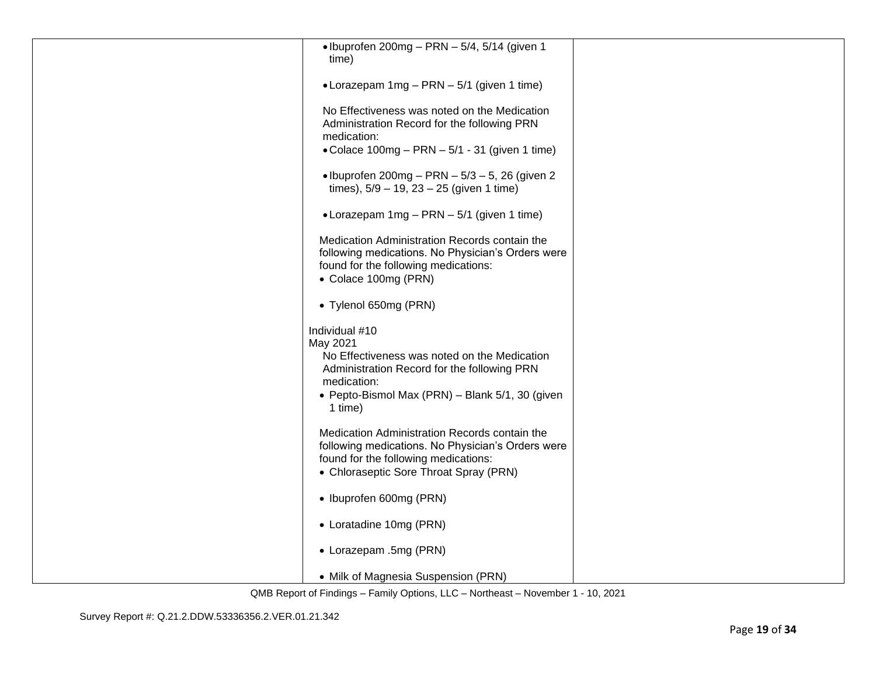| $\bullet$ Ibuprofen 200mg - PRN - 5/4, 5/14 (given 1<br>time) |  |
|---------------------------------------------------------------|--|
|                                                               |  |
| • Lorazepam 1mg - PRN - 5/1 (given 1 time)                    |  |
|                                                               |  |
| No Effectiveness was noted on the Medication                  |  |
| Administration Record for the following PRN                   |  |
| medication:                                                   |  |
| • Colace $100mg - PRN - 5/1 - 31$ (given 1 time)              |  |
| • Ibuprofen 200mg - PRN $-5/3 - 5$ , 26 (given 2              |  |
| times), $5/9 - 19$ , $23 - 25$ (given 1 time)                 |  |
|                                                               |  |
| • Lorazepam $1mg - PRN - 5/1$ (given 1 time)                  |  |
| Medication Administration Records contain the                 |  |
| following medications. No Physician's Orders were             |  |
| found for the following medications:                          |  |
| • Colace 100mg (PRN)                                          |  |
|                                                               |  |
| • Tylenol 650mg (PRN)                                         |  |
| Individual #10                                                |  |
| May 2021                                                      |  |
| No Effectiveness was noted on the Medication                  |  |
| Administration Record for the following PRN                   |  |
| medication:                                                   |  |
| • Pepto-Bismol Max (PRN) - Blank 5/1, 30 (given<br>1 time)    |  |
|                                                               |  |
| Medication Administration Records contain the                 |  |
| following medications. No Physician's Orders were             |  |
| found for the following medications:                          |  |
| • Chloraseptic Sore Throat Spray (PRN)                        |  |
| • Ibuprofen 600mg (PRN)                                       |  |
|                                                               |  |
| • Loratadine 10mg (PRN)                                       |  |
| • Lorazepam .5mg (PRN)                                        |  |
|                                                               |  |
| • Milk of Magnesia Suspension (PRN)                           |  |
|                                                               |  |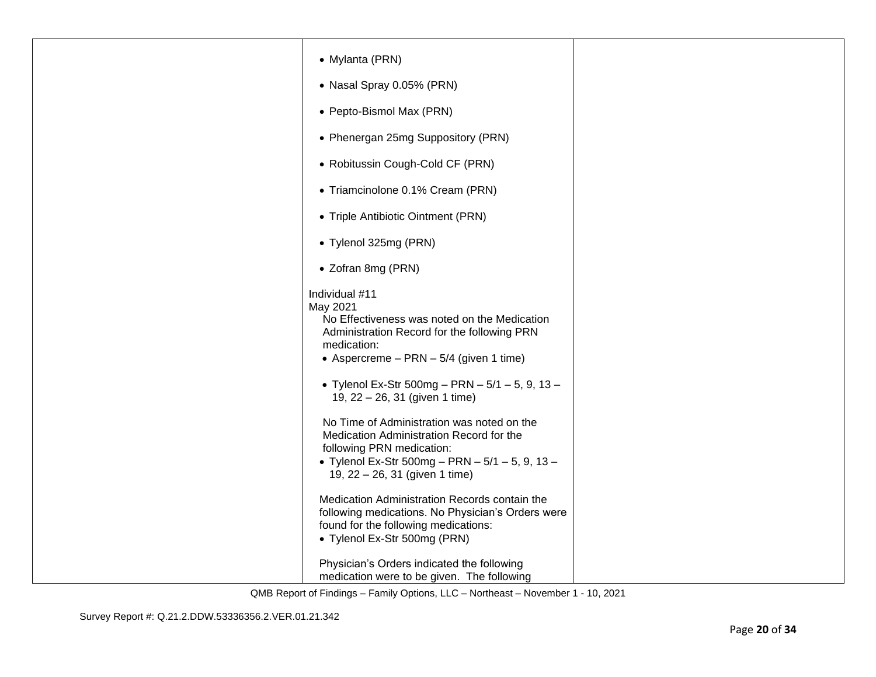| • Mylanta (PRN)                                                                                                                                                                                            |  |
|------------------------------------------------------------------------------------------------------------------------------------------------------------------------------------------------------------|--|
| • Nasal Spray 0.05% (PRN)                                                                                                                                                                                  |  |
| • Pepto-Bismol Max (PRN)                                                                                                                                                                                   |  |
| • Phenergan 25mg Suppository (PRN)                                                                                                                                                                         |  |
| • Robitussin Cough-Cold CF (PRN)                                                                                                                                                                           |  |
| • Triamcinolone 0.1% Cream (PRN)                                                                                                                                                                           |  |
| • Triple Antibiotic Ointment (PRN)                                                                                                                                                                         |  |
| • Tylenol 325mg (PRN)                                                                                                                                                                                      |  |
| • Zofran 8mg (PRN)                                                                                                                                                                                         |  |
| Individual #11<br>May 2021<br>No Effectiveness was noted on the Medication<br>Administration Record for the following PRN<br>medication:<br>• Aspercreme $-$ PRN $-$ 5/4 (given 1 time)                    |  |
| • Tylenol Ex-Str 500mg - PRN - $5/1$ - 5, 9, 13 -<br>19, 22 - 26, 31 (given 1 time)                                                                                                                        |  |
| No Time of Administration was noted on the<br>Medication Administration Record for the<br>following PRN medication:<br>• Tylenol Ex-Str 500mg - PRN $-5/1 - 5$ , 9, 13 -<br>19, 22 - 26, 31 (given 1 time) |  |
| Medication Administration Records contain the<br>following medications. No Physician's Orders were<br>found for the following medications:<br>• Tylenol Ex-Str 500mg (PRN)                                 |  |
| Physician's Orders indicated the following<br>medication were to be given. The following                                                                                                                   |  |
|                                                                                                                                                                                                            |  |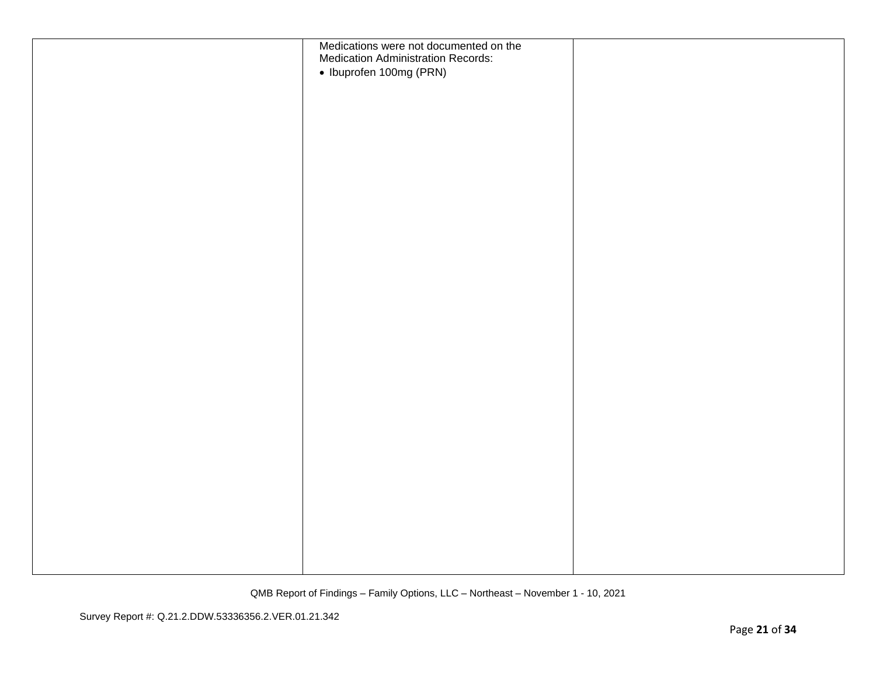| Medications were not documented on the<br><b>Medication Administration Records:</b> |  |
|-------------------------------------------------------------------------------------|--|
| • Ibuprofen 100mg (PRN)                                                             |  |
|                                                                                     |  |
|                                                                                     |  |
|                                                                                     |  |
|                                                                                     |  |
|                                                                                     |  |
|                                                                                     |  |
|                                                                                     |  |
|                                                                                     |  |
|                                                                                     |  |
|                                                                                     |  |
|                                                                                     |  |
|                                                                                     |  |
|                                                                                     |  |
|                                                                                     |  |
|                                                                                     |  |
|                                                                                     |  |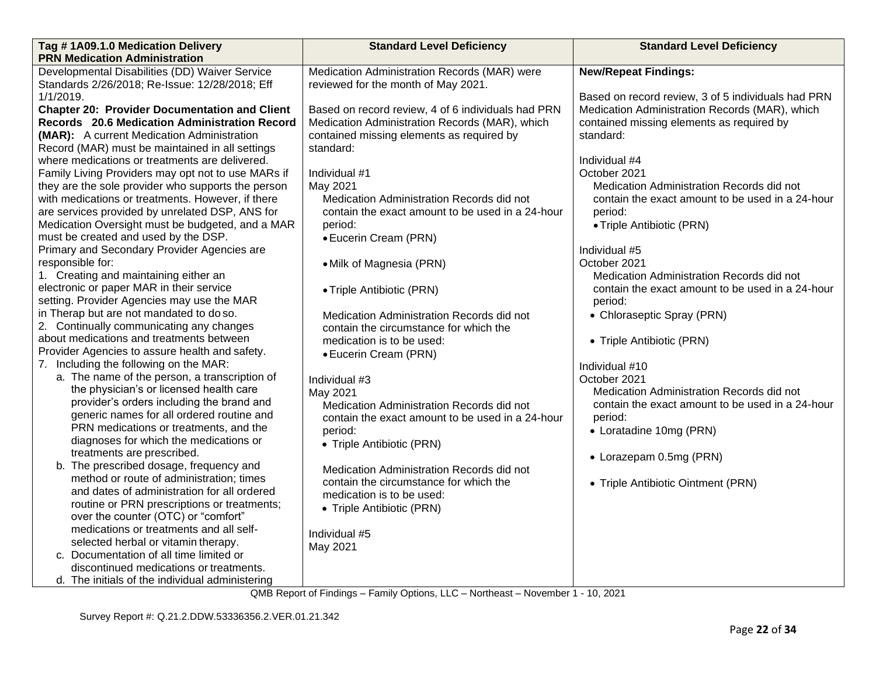| Tag #1A09.1.0 Medication Delivery                                                       | <b>Standard Level Deficiency</b>                   | <b>Standard Level Deficiency</b>                   |
|-----------------------------------------------------------------------------------------|----------------------------------------------------|----------------------------------------------------|
| <b>PRN Medication Administration</b>                                                    |                                                    |                                                    |
| Developmental Disabilities (DD) Waiver Service                                          | Medication Administration Records (MAR) were       | <b>New/Repeat Findings:</b>                        |
| Standards 2/26/2018; Re-Issue: 12/28/2018; Eff                                          | reviewed for the month of May 2021.                |                                                    |
| 1/1/2019.                                                                               |                                                    | Based on record review, 3 of 5 individuals had PRN |
| <b>Chapter 20: Provider Documentation and Client</b>                                    | Based on record review, 4 of 6 individuals had PRN | Medication Administration Records (MAR), which     |
| Records 20.6 Medication Administration Record                                           | Medication Administration Records (MAR), which     | contained missing elements as required by          |
| (MAR): A current Medication Administration                                              | contained missing elements as required by          | standard:                                          |
| Record (MAR) must be maintained in all settings                                         | standard:                                          |                                                    |
| where medications or treatments are delivered.                                          |                                                    | Individual #4                                      |
| Family Living Providers may opt not to use MARs if                                      | Individual #1                                      | October 2021                                       |
| they are the sole provider who supports the person                                      | May 2021                                           | Medication Administration Records did not          |
| with medications or treatments. However, if there                                       | Medication Administration Records did not          | contain the exact amount to be used in a 24-hour   |
| are services provided by unrelated DSP, ANS for                                         | contain the exact amount to be used in a 24-hour   | period:                                            |
| Medication Oversight must be budgeted, and a MAR                                        | period:                                            | • Triple Antibiotic (PRN)                          |
| must be created and used by the DSP.                                                    | • Eucerin Cream (PRN)                              |                                                    |
| Primary and Secondary Provider Agencies are                                             |                                                    | Individual #5                                      |
| responsible for:                                                                        | • Milk of Magnesia (PRN)                           | October 2021                                       |
| 1. Creating and maintaining either an                                                   |                                                    | Medication Administration Records did not          |
| electronic or paper MAR in their service                                                | • Triple Antibiotic (PRN)                          | contain the exact amount to be used in a 24-hour   |
| setting. Provider Agencies may use the MAR                                              |                                                    | period:                                            |
| in Therap but are not mandated to do so.                                                | Medication Administration Records did not          | • Chloraseptic Spray (PRN)                         |
| 2. Continually communicating any changes                                                | contain the circumstance for which the             |                                                    |
| about medications and treatments between                                                | medication is to be used:                          | • Triple Antibiotic (PRN)                          |
| Provider Agencies to assure health and safety.                                          | • Eucerin Cream (PRN)                              |                                                    |
| 7. Including the following on the MAR:                                                  |                                                    | Individual #10                                     |
| a. The name of the person, a transcription of                                           | Individual #3                                      | October 2021                                       |
| the physician's or licensed health care                                                 | May 2021                                           | Medication Administration Records did not          |
| provider's orders including the brand and                                               | Medication Administration Records did not          | contain the exact amount to be used in a 24-hour   |
| generic names for all ordered routine and                                               | contain the exact amount to be used in a 24-hour   | period:                                            |
| PRN medications or treatments, and the                                                  | period:                                            | • Loratadine 10mg (PRN)                            |
| diagnoses for which the medications or                                                  | • Triple Antibiotic (PRN)                          |                                                    |
| treatments are prescribed.                                                              |                                                    | • Lorazepam 0.5mg (PRN)                            |
| b. The prescribed dosage, frequency and                                                 | Medication Administration Records did not          |                                                    |
| method or route of administration; times<br>and dates of administration for all ordered | contain the circumstance for which the             | • Triple Antibiotic Ointment (PRN)                 |
| routine or PRN prescriptions or treatments;                                             | medication is to be used:                          |                                                    |
|                                                                                         | • Triple Antibiotic (PRN)                          |                                                    |
| over the counter (OTC) or "comfort"<br>medications or treatments and all self-          |                                                    |                                                    |
| selected herbal or vitamin therapy.                                                     | Individual #5                                      |                                                    |
| c. Documentation of all time limited or                                                 | May 2021                                           |                                                    |
| discontinued medications or treatments.                                                 |                                                    |                                                    |
|                                                                                         |                                                    |                                                    |
| d. The initials of the individual administering                                         |                                                    |                                                    |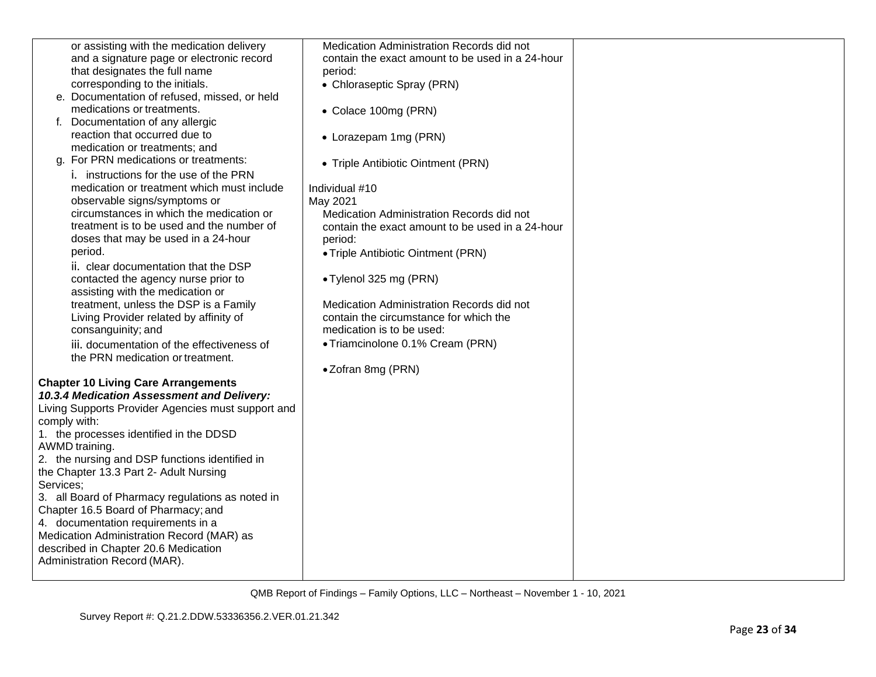| or assisting with the medication delivery          | Medication Administration Records did not        |  |
|----------------------------------------------------|--------------------------------------------------|--|
| and a signature page or electronic record          | contain the exact amount to be used in a 24-hour |  |
| that designates the full name                      | period:                                          |  |
| corresponding to the initials.                     | • Chloraseptic Spray (PRN)                       |  |
| e. Documentation of refused, missed, or held       |                                                  |  |
| medications or treatments.                         |                                                  |  |
|                                                    | • Colace 100mg (PRN)                             |  |
| Documentation of any allergic<br>f.                |                                                  |  |
| reaction that occurred due to                      | • Lorazepam 1mg (PRN)                            |  |
| medication or treatments; and                      |                                                  |  |
| g. For PRN medications or treatments:              | • Triple Antibiotic Ointment (PRN)               |  |
| i. instructions for the use of the PRN             |                                                  |  |
| medication or treatment which must include         | Individual #10                                   |  |
| observable signs/symptoms or                       | May 2021                                         |  |
| circumstances in which the medication or           | Medication Administration Records did not        |  |
| treatment is to be used and the number of          | contain the exact amount to be used in a 24-hour |  |
| doses that may be used in a 24-hour                | period:                                          |  |
| period.                                            |                                                  |  |
|                                                    | • Triple Antibiotic Ointment (PRN)               |  |
| ii. clear documentation that the DSP               |                                                  |  |
| contacted the agency nurse prior to                | • Tylenol 325 mg (PRN)                           |  |
| assisting with the medication or                   |                                                  |  |
| treatment, unless the DSP is a Family              | Medication Administration Records did not        |  |
| Living Provider related by affinity of             | contain the circumstance for which the           |  |
| consanguinity; and                                 | medication is to be used:                        |  |
| iii. documentation of the effectiveness of         | • Triamcinolone 0.1% Cream (PRN)                 |  |
| the PRN medication or treatment.                   |                                                  |  |
|                                                    | •Zofran 8mg (PRN)                                |  |
| <b>Chapter 10 Living Care Arrangements</b>         |                                                  |  |
| 10.3.4 Medication Assessment and Delivery:         |                                                  |  |
| Living Supports Provider Agencies must support and |                                                  |  |
| comply with:                                       |                                                  |  |
| 1. the processes identified in the DDSD            |                                                  |  |
| AWMD training.                                     |                                                  |  |
|                                                    |                                                  |  |
| 2. the nursing and DSP functions identified in     |                                                  |  |
| the Chapter 13.3 Part 2- Adult Nursing             |                                                  |  |
| Services;                                          |                                                  |  |
| 3. all Board of Pharmacy regulations as noted in   |                                                  |  |
| Chapter 16.5 Board of Pharmacy; and                |                                                  |  |
| 4. documentation requirements in a                 |                                                  |  |
| Medication Administration Record (MAR) as          |                                                  |  |
| described in Chapter 20.6 Medication               |                                                  |  |
| Administration Record (MAR).                       |                                                  |  |
|                                                    |                                                  |  |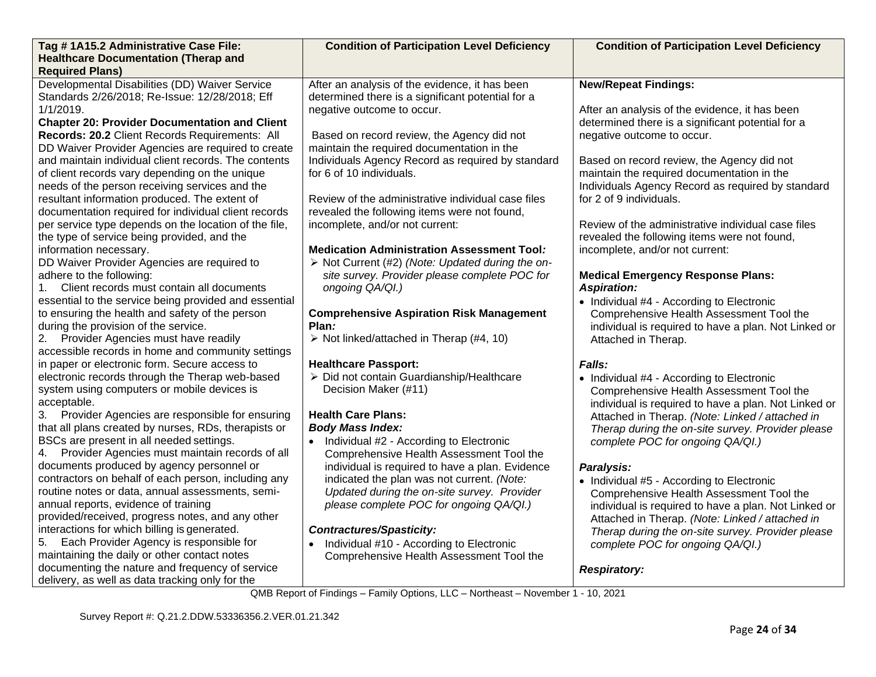| Tag #1A15.2 Administrative Case File:<br><b>Healthcare Documentation (Therap and</b>                                                                                                                                                                                                                                                                                                                                                                                                                                                                                                                                                                                                                                                                                                                                                                                                                                                                                                                          | <b>Condition of Participation Level Deficiency</b>                                                                                                                                                                                                                                                                                                                                                                                                                                                                                                                                                                                                                                                                                                          | <b>Condition of Participation Level Deficiency</b>                                                                                                                                                                                                                                                                                                                                                                                                                                                                                                                                                                                                                                                                              |
|---------------------------------------------------------------------------------------------------------------------------------------------------------------------------------------------------------------------------------------------------------------------------------------------------------------------------------------------------------------------------------------------------------------------------------------------------------------------------------------------------------------------------------------------------------------------------------------------------------------------------------------------------------------------------------------------------------------------------------------------------------------------------------------------------------------------------------------------------------------------------------------------------------------------------------------------------------------------------------------------------------------|-------------------------------------------------------------------------------------------------------------------------------------------------------------------------------------------------------------------------------------------------------------------------------------------------------------------------------------------------------------------------------------------------------------------------------------------------------------------------------------------------------------------------------------------------------------------------------------------------------------------------------------------------------------------------------------------------------------------------------------------------------------|---------------------------------------------------------------------------------------------------------------------------------------------------------------------------------------------------------------------------------------------------------------------------------------------------------------------------------------------------------------------------------------------------------------------------------------------------------------------------------------------------------------------------------------------------------------------------------------------------------------------------------------------------------------------------------------------------------------------------------|
| <b>Required Plans)</b>                                                                                                                                                                                                                                                                                                                                                                                                                                                                                                                                                                                                                                                                                                                                                                                                                                                                                                                                                                                        |                                                                                                                                                                                                                                                                                                                                                                                                                                                                                                                                                                                                                                                                                                                                                             |                                                                                                                                                                                                                                                                                                                                                                                                                                                                                                                                                                                                                                                                                                                                 |
| Developmental Disabilities (DD) Waiver Service<br>Standards 2/26/2018; Re-Issue: 12/28/2018; Eff<br>1/1/2019.<br><b>Chapter 20: Provider Documentation and Client</b><br>Records: 20.2 Client Records Requirements: All<br>DD Waiver Provider Agencies are required to create<br>and maintain individual client records. The contents<br>of client records vary depending on the unique<br>needs of the person receiving services and the<br>resultant information produced. The extent of<br>documentation required for individual client records<br>per service type depends on the location of the file,<br>the type of service being provided, and the<br>information necessary.<br>DD Waiver Provider Agencies are required to<br>adhere to the following:<br>1. Client records must contain all documents<br>essential to the service being provided and essential<br>to ensuring the health and safety of the person<br>during the provision of the service.<br>2. Provider Agencies must have readily | After an analysis of the evidence, it has been<br>determined there is a significant potential for a<br>negative outcome to occur.<br>Based on record review, the Agency did not<br>maintain the required documentation in the<br>Individuals Agency Record as required by standard<br>for 6 of 10 individuals.<br>Review of the administrative individual case files<br>revealed the following items were not found,<br>incomplete, and/or not current:<br><b>Medication Administration Assessment Tool:</b><br>> Not Current (#2) (Note: Updated during the on-<br>site survey. Provider please complete POC for<br>ongoing QA/QI.)<br><b>Comprehensive Aspiration Risk Management</b><br>Plan:<br>$\triangleright$ Not linked/attached in Therap (#4, 10) | <b>New/Repeat Findings:</b><br>After an analysis of the evidence, it has been<br>determined there is a significant potential for a<br>negative outcome to occur.<br>Based on record review, the Agency did not<br>maintain the required documentation in the<br>Individuals Agency Record as required by standard<br>for 2 of 9 individuals.<br>Review of the administrative individual case files<br>revealed the following items were not found,<br>incomplete, and/or not current:<br><b>Medical Emergency Response Plans:</b><br><b>Aspiration:</b><br>• Individual #4 - According to Electronic<br>Comprehensive Health Assessment Tool the<br>individual is required to have a plan. Not Linked or<br>Attached in Therap. |
| accessible records in home and community settings<br>in paper or electronic form. Secure access to                                                                                                                                                                                                                                                                                                                                                                                                                                                                                                                                                                                                                                                                                                                                                                                                                                                                                                            | <b>Healthcare Passport:</b>                                                                                                                                                                                                                                                                                                                                                                                                                                                                                                                                                                                                                                                                                                                                 | Falls:                                                                                                                                                                                                                                                                                                                                                                                                                                                                                                                                                                                                                                                                                                                          |
| electronic records through the Therap web-based<br>system using computers or mobile devices is<br>acceptable.<br>3. Provider Agencies are responsible for ensuring<br>that all plans created by nurses, RDs, therapists or<br>BSCs are present in all needed settings.<br>4. Provider Agencies must maintain records of all<br>documents produced by agency personnel or<br>contractors on behalf of each person, including any<br>routine notes or data, annual assessments, semi-<br>annual reports, evidence of training<br>provided/received, progress notes, and any other<br>interactions for which billing is generated.<br>Each Provider Agency is responsible for<br>5.<br>maintaining the daily or other contact notes<br>documenting the nature and frequency of service                                                                                                                                                                                                                           | > Did not contain Guardianship/Healthcare<br>Decision Maker (#11)<br><b>Health Care Plans:</b><br><b>Body Mass Index:</b><br>• Individual #2 - According to Electronic<br>Comprehensive Health Assessment Tool the<br>individual is required to have a plan. Evidence<br>indicated the plan was not current. (Note:<br>Updated during the on-site survey. Provider<br>please complete POC for ongoing QA/QI.)<br><b>Contractures/Spasticity:</b><br>Individual #10 - According to Electronic<br>Comprehensive Health Assessment Tool the                                                                                                                                                                                                                    | • Individual #4 - According to Electronic<br>Comprehensive Health Assessment Tool the<br>individual is required to have a plan. Not Linked or<br>Attached in Therap. (Note: Linked / attached in<br>Therap during the on-site survey. Provider please<br>complete POC for ongoing QA/QI.)<br>Paralysis:<br>• Individual #5 - According to Electronic<br>Comprehensive Health Assessment Tool the<br>individual is required to have a plan. Not Linked or<br>Attached in Therap. (Note: Linked / attached in<br>Therap during the on-site survey. Provider please<br>complete POC for ongoing QA/QI.)                                                                                                                            |
| delivery, as well as data tracking only for the                                                                                                                                                                                                                                                                                                                                                                                                                                                                                                                                                                                                                                                                                                                                                                                                                                                                                                                                                               |                                                                                                                                                                                                                                                                                                                                                                                                                                                                                                                                                                                                                                                                                                                                                             | <b>Respiratory:</b>                                                                                                                                                                                                                                                                                                                                                                                                                                                                                                                                                                                                                                                                                                             |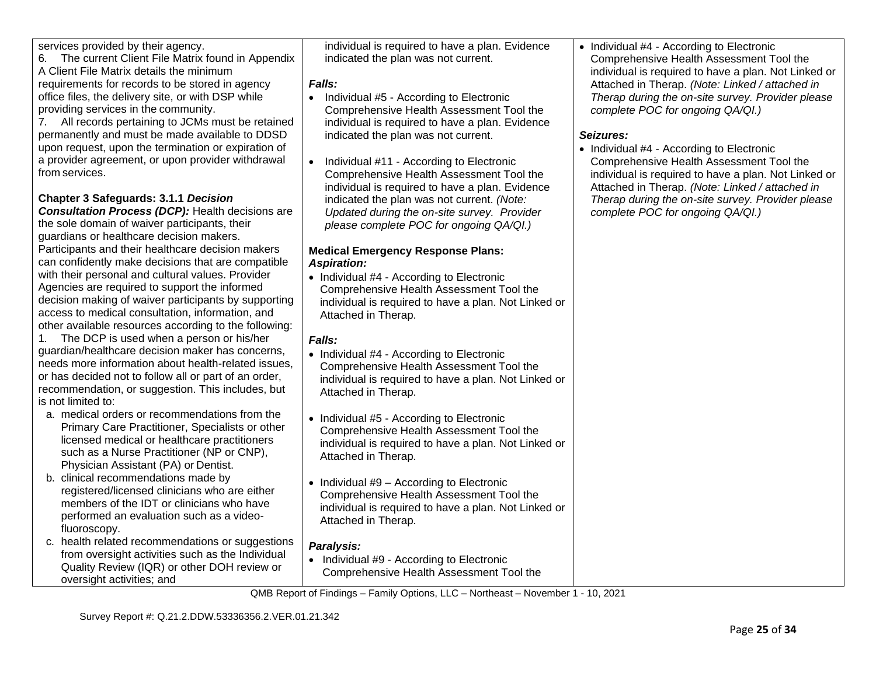services provided by their agency.

6. The current Client File Matrix found in Appendix A Client File Matrix details the minimum requirements for records to be stored in agency office files, the delivery site, or with DSP while providing services in the community.

7. All records pertaining to JCMs must be retained permanently and must be made available to DDSD upon request, upon the termination or expiration of a provider agreement, or upon provider withdrawal from services.

# **Chapter 3 Safeguards: 3.1.1** *Decision*

*Consultation Process (DCP):* Health decisions are the sole domain of waiver participants, their guardians or healthcare decision makers. Participants and their healthcare decision makers can confidently make decisions that are compatible with their personal and cultural values. Provider Agencies are required to support the informed decision making of waiver participants by supporting access to medical consultation, information, and other available resources according to the following:

1. The DCP is used when a person or his/her guardian/healthcare decision maker has concerns, needs more information about health-related issues, or has decided not to follow all or part of an order, recommendation, or suggestion. This includes, but is not limited to:

- a. medical orders or recommendations from the Primary Care Practitioner, Specialists or other licensed medical or healthcare practitioners such as a Nurse Practitioner (NP or CNP), Physician Assistant (PA) or Dentist.
- b. clinical recommendations made by registered/licensed clinicians who are either members of the IDT or clinicians who have performed an evaluation such as a videofluoroscopy.
- c. health related recommendations or suggestions from oversight activities such as the Individual Quality Review (IQR) or other DOH review or oversight activities; and

individual is required to have a plan. Evidence indicated the plan was not current.

# *Falls:*

- Individual #5 According to Electronic Comprehensive Health Assessment Tool the individual is required to have a plan. Evidence indicated the plan was not current.
- Individual #11 According to Electronic Comprehensive Health Assessment Tool the individual is required to have a plan. Evidence indicated the plan was not current. *(Note: Updated during the on-site survey. Provider please complete POC for ongoing QA/QI.)*

## **Medical Emergency Response Plans:** *Aspiration:*

• Individual #4 - According to Electronic Comprehensive Health Assessment Tool the individual is required to have a plan. Not Linked or Attached in Therap.

# *Falls:*

- Individual #4 According to Electronic Comprehensive Health Assessment Tool the individual is required to have a plan. Not Linked or Attached in Therap.
- Individual #5 According to Electronic Comprehensive Health Assessment Tool the individual is required to have a plan. Not Linked or Attached in Therap.
- Individual #9 According to Electronic Comprehensive Health Assessment Tool the individual is required to have a plan. Not Linked or Attached in Therap.

# *Paralysis:*

• Individual #9 - According to Electronic Comprehensive Health Assessment Tool the • Individual #4 - According to Electronic Comprehensive Health Assessment Tool the individual is required to have a plan. Not Linked or Attached in Therap. *(Note: Linked / attached in Therap during the on-site survey. Provider please complete POC for ongoing QA/QI.)*

# *Seizures:*

• Individual #4 - According to Electronic Comprehensive Health Assessment Tool the individual is required to have a plan. Not Linked or Attached in Therap. *(Note: Linked / attached in Therap during the on-site survey. Provider please complete POC for ongoing QA/QI.)*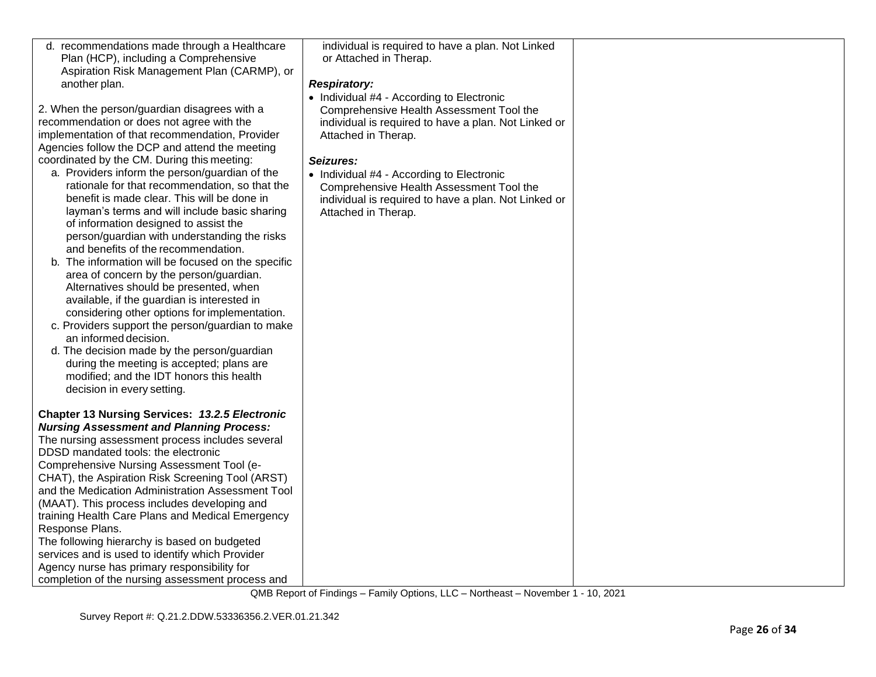| d. recommendations made through a Healthcare<br>Plan (HCP), including a Comprehensive<br>Aspiration Risk Management Plan (CARMP), or<br>another plan.<br>2. When the person/guardian disagrees with a<br>recommendation or does not agree with the<br>implementation of that recommendation, Provider<br>Agencies follow the DCP and attend the meeting<br>coordinated by the CM. During this meeting:<br>a. Providers inform the person/guardian of the<br>rationale for that recommendation, so that the<br>benefit is made clear. This will be done in<br>layman's terms and will include basic sharing<br>of information designed to assist the<br>person/guardian with understanding the risks<br>and benefits of the recommendation.<br>b. The information will be focused on the specific<br>area of concern by the person/guardian.<br>Alternatives should be presented, when<br>available, if the guardian is interested in<br>considering other options for implementation.<br>c. Providers support the person/guardian to make<br>an informed decision.<br>d. The decision made by the person/guardian<br>during the meeting is accepted; plans are<br>modified; and the IDT honors this health<br>decision in every setting. | individual is required to have a plan. Not Linked<br>or Attached in Therap.<br><b>Respiratory:</b><br>• Individual #4 - According to Electronic<br>Comprehensive Health Assessment Tool the<br>individual is required to have a plan. Not Linked or<br>Attached in Therap.<br>Seizures:<br>• Individual #4 - According to Electronic<br>Comprehensive Health Assessment Tool the<br>individual is required to have a plan. Not Linked or<br>Attached in Therap. |  |
|------------------------------------------------------------------------------------------------------------------------------------------------------------------------------------------------------------------------------------------------------------------------------------------------------------------------------------------------------------------------------------------------------------------------------------------------------------------------------------------------------------------------------------------------------------------------------------------------------------------------------------------------------------------------------------------------------------------------------------------------------------------------------------------------------------------------------------------------------------------------------------------------------------------------------------------------------------------------------------------------------------------------------------------------------------------------------------------------------------------------------------------------------------------------------------------------------------------------------------------|-----------------------------------------------------------------------------------------------------------------------------------------------------------------------------------------------------------------------------------------------------------------------------------------------------------------------------------------------------------------------------------------------------------------------------------------------------------------|--|
| <b>Chapter 13 Nursing Services: 13.2.5 Electronic</b><br><b>Nursing Assessment and Planning Process:</b><br>The nursing assessment process includes several<br>DDSD mandated tools: the electronic<br>Comprehensive Nursing Assessment Tool (e-<br>CHAT), the Aspiration Risk Screening Tool (ARST)<br>and the Medication Administration Assessment Tool<br>(MAAT). This process includes developing and<br>training Health Care Plans and Medical Emergency<br>Response Plans.<br>The following hierarchy is based on budgeted<br>services and is used to identify which Provider<br>Agency nurse has primary responsibility for<br>completion of the nursing assessment process and                                                                                                                                                                                                                                                                                                                                                                                                                                                                                                                                                    |                                                                                                                                                                                                                                                                                                                                                                                                                                                                 |  |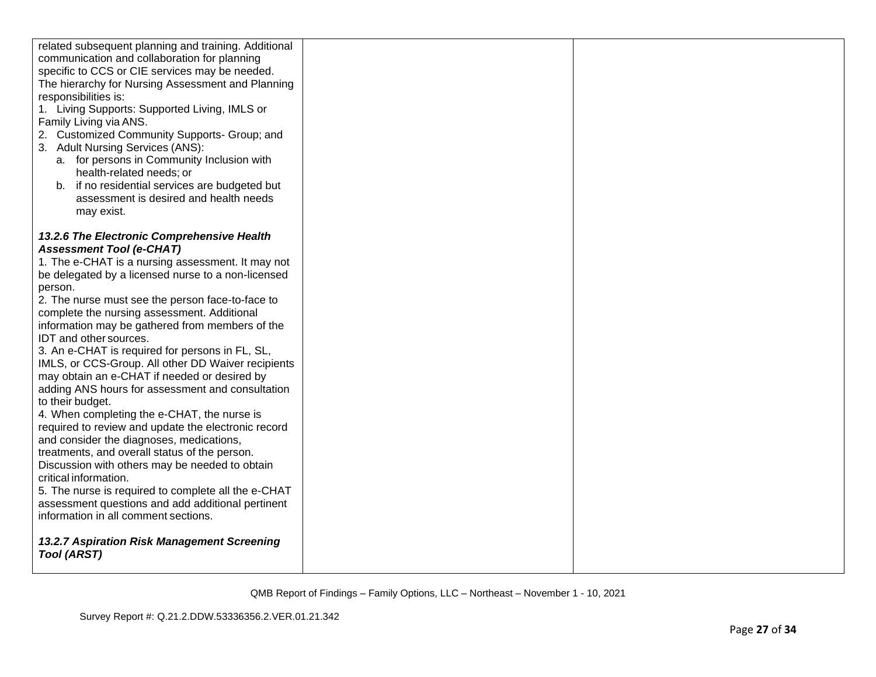| related subsequent planning and training. Additional<br>communication and collaboration for planning<br>specific to CCS or CIE services may be needed.<br>The hierarchy for Nursing Assessment and Planning<br>responsibilities is:<br>1. Living Supports: Supported Living, IMLS or<br>Family Living via ANS.<br>2. Customized Community Supports- Group; and<br>3. Adult Nursing Services (ANS):<br>a. for persons in Community Inclusion with<br>health-related needs; or<br>b. if no residential services are budgeted but<br>assessment is desired and health needs<br>may exist. |  |
|----------------------------------------------------------------------------------------------------------------------------------------------------------------------------------------------------------------------------------------------------------------------------------------------------------------------------------------------------------------------------------------------------------------------------------------------------------------------------------------------------------------------------------------------------------------------------------------|--|
| 13.2.6 The Electronic Comprehensive Health<br><b>Assessment Tool (e-CHAT)</b><br>1. The e-CHAT is a nursing assessment. It may not<br>be delegated by a licensed nurse to a non-licensed<br>person.<br>2. The nurse must see the person face-to-face to<br>complete the nursing assessment. Additional<br>information may be gathered from members of the                                                                                                                                                                                                                              |  |
| IDT and other sources.<br>3. An e-CHAT is required for persons in FL, SL,<br>IMLS, or CCS-Group. All other DD Waiver recipients<br>may obtain an e-CHAT if needed or desired by<br>adding ANS hours for assessment and consultation<br>to their budget.                                                                                                                                                                                                                                                                                                                                |  |
| 4. When completing the e-CHAT, the nurse is<br>required to review and update the electronic record<br>and consider the diagnoses, medications,<br>treatments, and overall status of the person.<br>Discussion with others may be needed to obtain<br>critical information.<br>5. The nurse is required to complete all the e-CHAT<br>assessment questions and add additional pertinent                                                                                                                                                                                                 |  |
| information in all comment sections.<br>13.2.7 Aspiration Risk Management Screening<br>Tool (ARST)                                                                                                                                                                                                                                                                                                                                                                                                                                                                                     |  |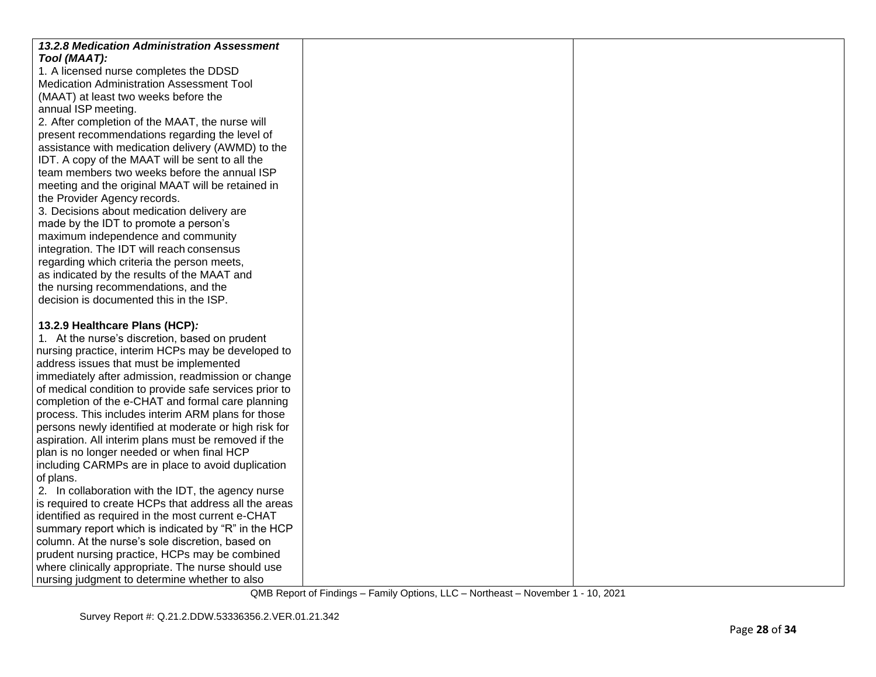| <b>13.2.8 Medication Administration Assessment</b>     |  |
|--------------------------------------------------------|--|
| Tool (MAAT):                                           |  |
| 1. A licensed nurse completes the DDSD                 |  |
| Medication Administration Assessment Tool              |  |
| (MAAT) at least two weeks before the                   |  |
| annual ISP meeting.                                    |  |
| 2. After completion of the MAAT, the nurse will        |  |
| present recommendations regarding the level of         |  |
| assistance with medication delivery (AWMD) to the      |  |
| IDT. A copy of the MAAT will be sent to all the        |  |
| team members two weeks before the annual ISP           |  |
| meeting and the original MAAT will be retained in      |  |
| the Provider Agency records.                           |  |
| 3. Decisions about medication delivery are             |  |
| made by the IDT to promote a person's                  |  |
| maximum independence and community                     |  |
| integration. The IDT will reach consensus              |  |
| regarding which criteria the person meets,             |  |
| as indicated by the results of the MAAT and            |  |
| the nursing recommendations, and the                   |  |
| decision is documented this in the ISP.                |  |
|                                                        |  |
| 13.2.9 Healthcare Plans (HCP):                         |  |
| 1. At the nurse's discretion, based on prudent         |  |
| nursing practice, interim HCPs may be developed to     |  |
| address issues that must be implemented                |  |
| immediately after admission, readmission or change     |  |
| of medical condition to provide safe services prior to |  |
| completion of the e-CHAT and formal care planning      |  |
| process. This includes interim ARM plans for those     |  |
| persons newly identified at moderate or high risk for  |  |
| aspiration. All interim plans must be removed if the   |  |
| plan is no longer needed or when final HCP             |  |
| including CARMPs are in place to avoid duplication     |  |
| of plans.                                              |  |
| 2. In collaboration with the IDT, the agency nurse     |  |
| is required to create HCPs that address all the areas  |  |
| identified as required in the most current e-CHAT      |  |
| summary report which is indicated by "R" in the HCP    |  |
| column. At the nurse's sole discretion, based on       |  |
| prudent nursing practice, HCPs may be combined         |  |
| where clinically appropriate. The nurse should use     |  |
| nursing judgment to determine whether to also          |  |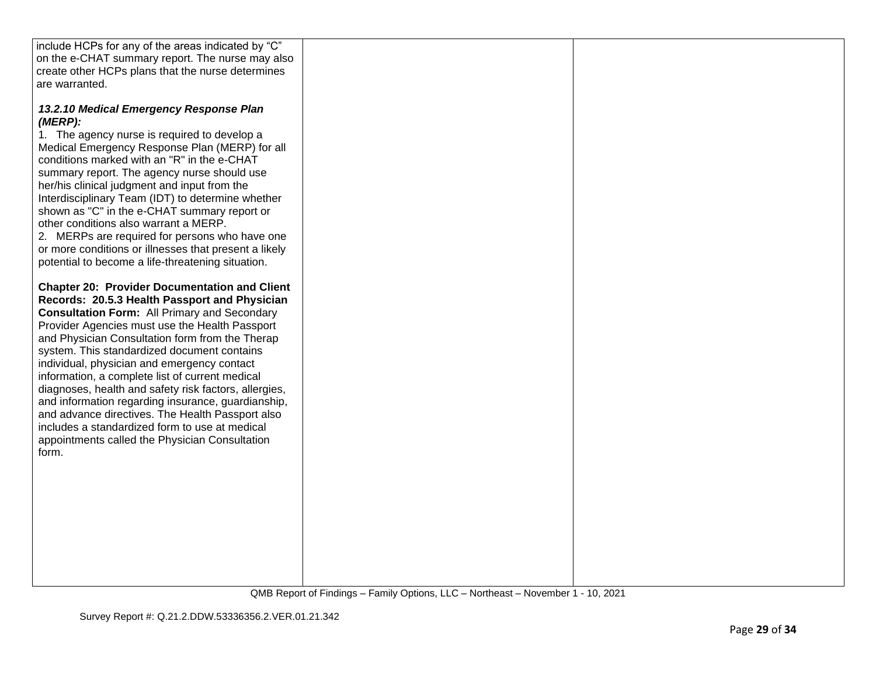| include HCPs for any of the areas indicated by "C"                                                                                                                                                                                                                                                                                                                                                                                                                                                                                                                                                                                                                                                 |  |
|----------------------------------------------------------------------------------------------------------------------------------------------------------------------------------------------------------------------------------------------------------------------------------------------------------------------------------------------------------------------------------------------------------------------------------------------------------------------------------------------------------------------------------------------------------------------------------------------------------------------------------------------------------------------------------------------------|--|
| on the e-CHAT summary report. The nurse may also                                                                                                                                                                                                                                                                                                                                                                                                                                                                                                                                                                                                                                                   |  |
| create other HCPs plans that the nurse determines                                                                                                                                                                                                                                                                                                                                                                                                                                                                                                                                                                                                                                                  |  |
| are warranted.                                                                                                                                                                                                                                                                                                                                                                                                                                                                                                                                                                                                                                                                                     |  |
|                                                                                                                                                                                                                                                                                                                                                                                                                                                                                                                                                                                                                                                                                                    |  |
| 13.2.10 Medical Emergency Response Plan<br>(MERP):<br>1. The agency nurse is required to develop a<br>Medical Emergency Response Plan (MERP) for all<br>conditions marked with an "R" in the e-CHAT<br>summary report. The agency nurse should use<br>her/his clinical judgment and input from the<br>Interdisciplinary Team (IDT) to determine whether<br>shown as "C" in the e-CHAT summary report or<br>other conditions also warrant a MERP.<br>2. MERPs are required for persons who have one<br>or more conditions or illnesses that present a likely                                                                                                                                        |  |
| potential to become a life-threatening situation.                                                                                                                                                                                                                                                                                                                                                                                                                                                                                                                                                                                                                                                  |  |
| <b>Chapter 20: Provider Documentation and Client</b><br>Records: 20.5.3 Health Passport and Physician<br><b>Consultation Form: All Primary and Secondary</b><br>Provider Agencies must use the Health Passport<br>and Physician Consultation form from the Therap<br>system. This standardized document contains<br>individual, physician and emergency contact<br>information, a complete list of current medical<br>diagnoses, health and safety risk factors, allergies,<br>and information regarding insurance, guardianship,<br>and advance directives. The Health Passport also<br>includes a standardized form to use at medical<br>appointments called the Physician Consultation<br>form. |  |
|                                                                                                                                                                                                                                                                                                                                                                                                                                                                                                                                                                                                                                                                                                    |  |
|                                                                                                                                                                                                                                                                                                                                                                                                                                                                                                                                                                                                                                                                                                    |  |
|                                                                                                                                                                                                                                                                                                                                                                                                                                                                                                                                                                                                                                                                                                    |  |
|                                                                                                                                                                                                                                                                                                                                                                                                                                                                                                                                                                                                                                                                                                    |  |
|                                                                                                                                                                                                                                                                                                                                                                                                                                                                                                                                                                                                                                                                                                    |  |
|                                                                                                                                                                                                                                                                                                                                                                                                                                                                                                                                                                                                                                                                                                    |  |
|                                                                                                                                                                                                                                                                                                                                                                                                                                                                                                                                                                                                                                                                                                    |  |
|                                                                                                                                                                                                                                                                                                                                                                                                                                                                                                                                                                                                                                                                                                    |  |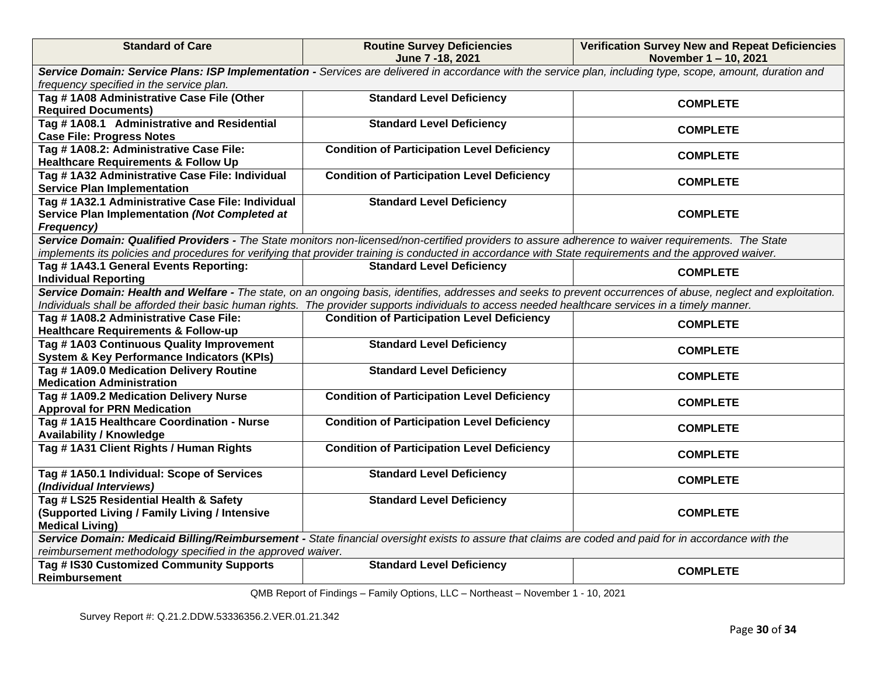| <b>Standard of Care</b>                                                                                                                                     | <b>Routine Survey Deficiencies</b><br>June 7 - 18, 2021                                                                                                 | <b>Verification Survey New and Repeat Deficiencies</b><br>November 1-10, 2021                                                                                   |  |  |
|-------------------------------------------------------------------------------------------------------------------------------------------------------------|---------------------------------------------------------------------------------------------------------------------------------------------------------|-----------------------------------------------------------------------------------------------------------------------------------------------------------------|--|--|
| Service Domain: Service Plans: ISP Implementation - Services are delivered in accordance with the service plan, including type, scope, amount, duration and |                                                                                                                                                         |                                                                                                                                                                 |  |  |
| frequency specified in the service plan.                                                                                                                    |                                                                                                                                                         |                                                                                                                                                                 |  |  |
| Tag #1A08 Administrative Case File (Other                                                                                                                   | <b>Standard Level Deficiency</b>                                                                                                                        | <b>COMPLETE</b>                                                                                                                                                 |  |  |
| <b>Required Documents)</b>                                                                                                                                  |                                                                                                                                                         |                                                                                                                                                                 |  |  |
| Tag # 1A08.1 Administrative and Residential                                                                                                                 | <b>Standard Level Deficiency</b>                                                                                                                        | <b>COMPLETE</b>                                                                                                                                                 |  |  |
| <b>Case File: Progress Notes</b>                                                                                                                            |                                                                                                                                                         |                                                                                                                                                                 |  |  |
| Tag #1A08.2: Administrative Case File:                                                                                                                      | <b>Condition of Participation Level Deficiency</b>                                                                                                      | <b>COMPLETE</b>                                                                                                                                                 |  |  |
| <b>Healthcare Requirements &amp; Follow Up</b>                                                                                                              |                                                                                                                                                         |                                                                                                                                                                 |  |  |
| Tag #1A32 Administrative Case File: Individual                                                                                                              | <b>Condition of Participation Level Deficiency</b>                                                                                                      | <b>COMPLETE</b>                                                                                                                                                 |  |  |
| <b>Service Plan Implementation</b>                                                                                                                          |                                                                                                                                                         |                                                                                                                                                                 |  |  |
| Tag # 1A32.1 Administrative Case File: Individual                                                                                                           | <b>Standard Level Deficiency</b>                                                                                                                        |                                                                                                                                                                 |  |  |
| Service Plan Implementation (Not Completed at                                                                                                               |                                                                                                                                                         | <b>COMPLETE</b>                                                                                                                                                 |  |  |
| Frequency)                                                                                                                                                  |                                                                                                                                                         |                                                                                                                                                                 |  |  |
|                                                                                                                                                             | Service Domain: Qualified Providers - The State monitors non-licensed/non-certified providers to assure adherence to waiver requirements. The State     |                                                                                                                                                                 |  |  |
|                                                                                                                                                             | implements its policies and procedures for verifying that provider training is conducted in accordance with State requirements and the approved waiver. |                                                                                                                                                                 |  |  |
| Tag #1A43.1 General Events Reporting:                                                                                                                       | <b>Standard Level Deficiency</b>                                                                                                                        | <b>COMPLETE</b>                                                                                                                                                 |  |  |
| <b>Individual Reporting</b>                                                                                                                                 |                                                                                                                                                         |                                                                                                                                                                 |  |  |
|                                                                                                                                                             |                                                                                                                                                         | Service Domain: Health and Welfare - The state, on an ongoing basis, identifies, addresses and seeks to prevent occurrences of abuse, neglect and exploitation. |  |  |
|                                                                                                                                                             | Individuals shall be afforded their basic human rights. The provider supports individuals to access needed healthcare services in a timely manner.      |                                                                                                                                                                 |  |  |
| Tag #1A08.2 Administrative Case File:                                                                                                                       | <b>Condition of Participation Level Deficiency</b>                                                                                                      | <b>COMPLETE</b>                                                                                                                                                 |  |  |
| <b>Healthcare Requirements &amp; Follow-up</b>                                                                                                              |                                                                                                                                                         |                                                                                                                                                                 |  |  |
| Tag #1A03 Continuous Quality Improvement                                                                                                                    | <b>Standard Level Deficiency</b>                                                                                                                        | <b>COMPLETE</b>                                                                                                                                                 |  |  |
| <b>System &amp; Key Performance Indicators (KPIs)</b>                                                                                                       |                                                                                                                                                         |                                                                                                                                                                 |  |  |
| Tag #1A09.0 Medication Delivery Routine                                                                                                                     | <b>Standard Level Deficiency</b>                                                                                                                        | <b>COMPLETE</b>                                                                                                                                                 |  |  |
| <b>Medication Administration</b>                                                                                                                            |                                                                                                                                                         |                                                                                                                                                                 |  |  |
| Tag #1A09.2 Medication Delivery Nurse                                                                                                                       | <b>Condition of Participation Level Deficiency</b>                                                                                                      | <b>COMPLETE</b>                                                                                                                                                 |  |  |
| <b>Approval for PRN Medication</b>                                                                                                                          |                                                                                                                                                         |                                                                                                                                                                 |  |  |
| Tag #1A15 Healthcare Coordination - Nurse                                                                                                                   | <b>Condition of Participation Level Deficiency</b>                                                                                                      | <b>COMPLETE</b>                                                                                                                                                 |  |  |
| <b>Availability / Knowledge</b>                                                                                                                             |                                                                                                                                                         |                                                                                                                                                                 |  |  |
| Tag # 1A31 Client Rights / Human Rights                                                                                                                     | <b>Condition of Participation Level Deficiency</b>                                                                                                      | <b>COMPLETE</b>                                                                                                                                                 |  |  |
|                                                                                                                                                             |                                                                                                                                                         |                                                                                                                                                                 |  |  |
| Tag #1A50.1 Individual: Scope of Services<br>(Individual Interviews)                                                                                        | <b>Standard Level Deficiency</b>                                                                                                                        | <b>COMPLETE</b>                                                                                                                                                 |  |  |
|                                                                                                                                                             |                                                                                                                                                         |                                                                                                                                                                 |  |  |
| Tag # LS25 Residential Health & Safety                                                                                                                      | <b>Standard Level Deficiency</b>                                                                                                                        | <b>COMPLETE</b>                                                                                                                                                 |  |  |
| (Supported Living / Family Living / Intensive<br><b>Medical Living)</b>                                                                                     |                                                                                                                                                         |                                                                                                                                                                 |  |  |
|                                                                                                                                                             |                                                                                                                                                         |                                                                                                                                                                 |  |  |
| Service Domain: Medicaid Billing/Reimbursement - State financial oversight exists to assure that claims are coded and paid for in accordance with the       |                                                                                                                                                         |                                                                                                                                                                 |  |  |
| reimbursement methodology specified in the approved waiver.                                                                                                 |                                                                                                                                                         |                                                                                                                                                                 |  |  |
| Tag # IS30 Customized Community Supports<br><b>Reimbursement</b>                                                                                            | <b>Standard Level Deficiency</b>                                                                                                                        | <b>COMPLETE</b>                                                                                                                                                 |  |  |
|                                                                                                                                                             |                                                                                                                                                         |                                                                                                                                                                 |  |  |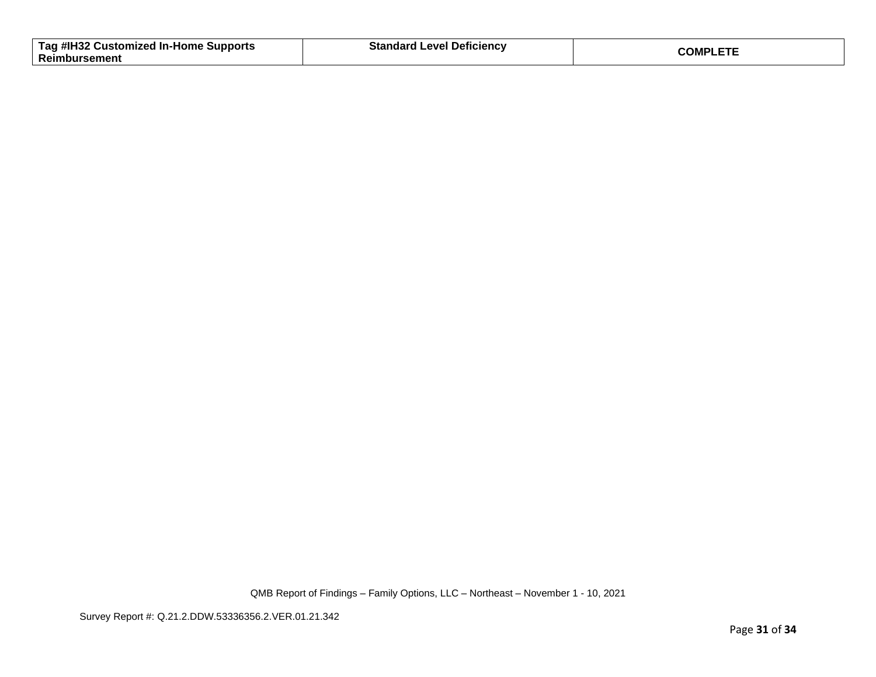| Tag #IH32 Customized In-Home Supports | <b>Standard Level Deficiency</b> | <b>COMPLETE</b> |
|---------------------------------------|----------------------------------|-----------------|
| Reimbursement                         |                                  |                 |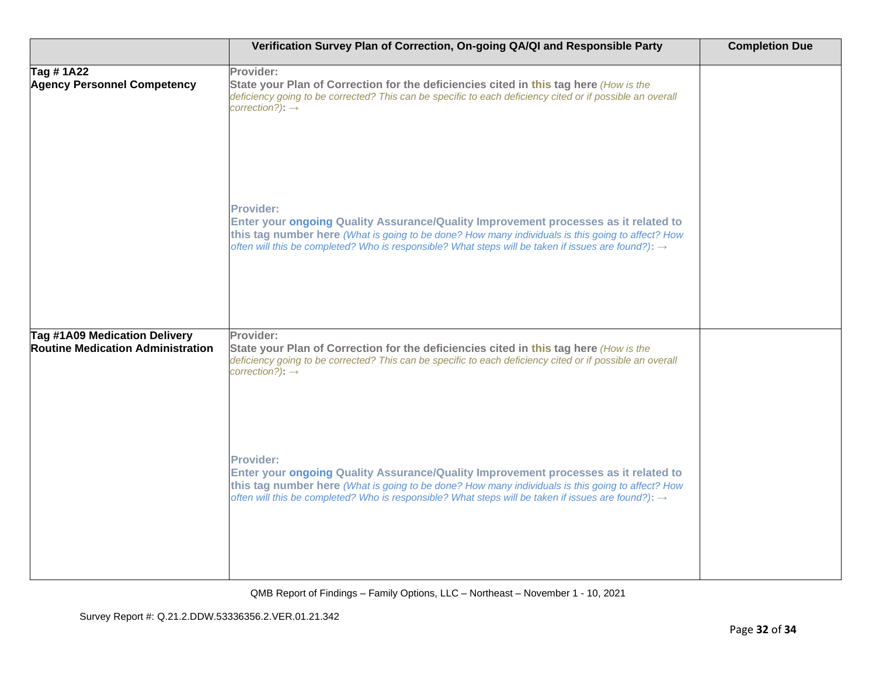|                                                                           | Verification Survey Plan of Correction, On-going QA/QI and Responsible Party                                                                                                                                                                                                                                                    | <b>Completion Due</b> |
|---------------------------------------------------------------------------|---------------------------------------------------------------------------------------------------------------------------------------------------------------------------------------------------------------------------------------------------------------------------------------------------------------------------------|-----------------------|
| Tag #1A22<br><b>Agency Personnel Competency</b>                           | Provider:<br>State your Plan of Correction for the deficiencies cited in this tag here (How is the<br>deficiency going to be corrected? This can be specific to each deficiency cited or if possible an overall<br>$correction$ ?): $\rightarrow$                                                                               |                       |
|                                                                           | <b>Provider:</b><br>Enter your ongoing Quality Assurance/Quality Improvement processes as it related to<br>this tag number here (What is going to be done? How many individuals is this going to affect? How<br>often will this be completed? Who is responsible? What steps will be taken if issues are found?): $\rightarrow$ |                       |
| Tag #1A09 Medication Delivery<br><b>Routine Medication Administration</b> | Provider:<br>State your Plan of Correction for the deficiencies cited in this tag here (How is the<br>deficiency going to be corrected? This can be specific to each deficiency cited or if possible an overall<br>$correction$ ?): $\rightarrow$                                                                               |                       |
|                                                                           | <b>Provider:</b><br>Enter your ongoing Quality Assurance/Quality Improvement processes as it related to<br>this tag number here (What is going to be done? How many individuals is this going to affect? How<br>often will this be completed? Who is responsible? What steps will be taken if issues are found?): $\rightarrow$ |                       |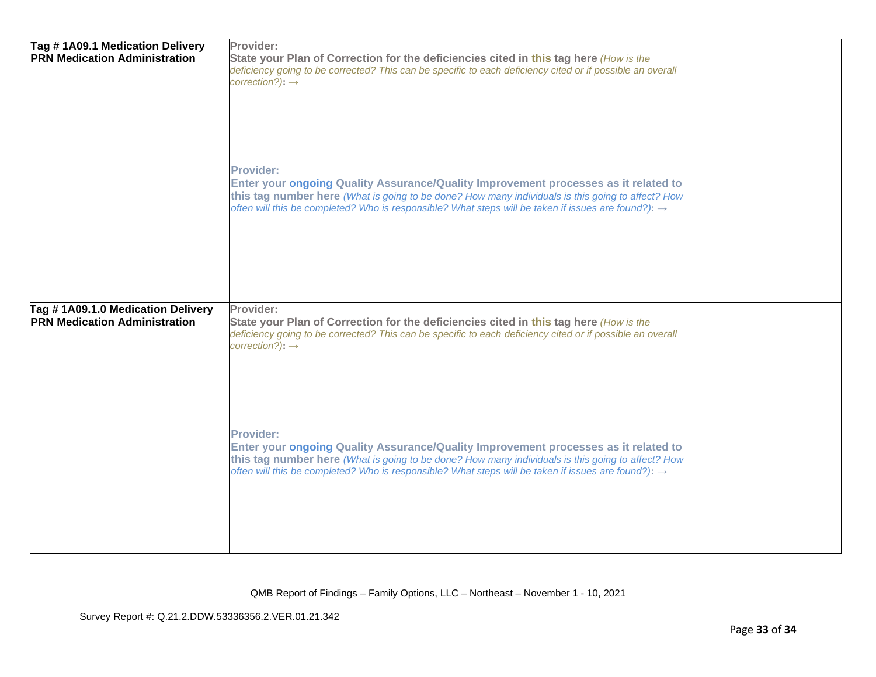| Tag # 1A09.1 Medication Delivery<br><b>PRN Medication Administration</b>  | Provider:<br>State your Plan of Correction for the deficiencies cited in this tag here (How is the<br>deficiency going to be corrected? This can be specific to each deficiency cited or if possible an overall<br>$correction$ ?): $\rightarrow$                                                                               |  |
|---------------------------------------------------------------------------|---------------------------------------------------------------------------------------------------------------------------------------------------------------------------------------------------------------------------------------------------------------------------------------------------------------------------------|--|
|                                                                           | <b>Provider:</b><br>Enter your ongoing Quality Assurance/Quality Improvement processes as it related to<br>this tag number here (What is going to be done? How many individuals is this going to affect? How<br>often will this be completed? Who is responsible? What steps will be taken if issues are found?): $\rightarrow$ |  |
| Tag #1A09.1.0 Medication Delivery<br><b>PRN Medication Administration</b> | Provider:<br>State your Plan of Correction for the deficiencies cited in this tag here (How is the<br>deficiency going to be corrected? This can be specific to each deficiency cited or if possible an overall<br>$correction$ ?): $\rightarrow$                                                                               |  |
|                                                                           | <b>Provider:</b><br>Enter your ongoing Quality Assurance/Quality Improvement processes as it related to<br>this tag number here (What is going to be done? How many individuals is this going to affect? How<br>often will this be completed? Who is responsible? What steps will be taken if issues are found?): $\rightarrow$ |  |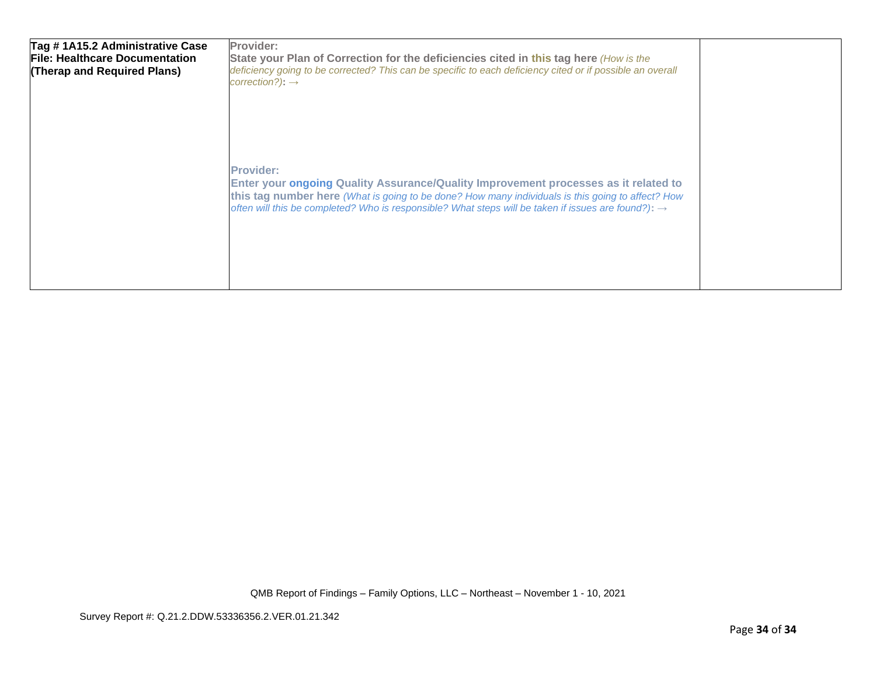| Tag #1A15.2 Administrative Case<br><b>File: Healthcare Documentation</b><br>(Therap and Required Plans) | Provider:<br>State your Plan of Correction for the deficiencies cited in this tag here (How is the<br>deficiency going to be corrected? This can be specific to each deficiency cited or if possible an overall<br>$correction$ ?): $\rightarrow$                                                                               |  |
|---------------------------------------------------------------------------------------------------------|---------------------------------------------------------------------------------------------------------------------------------------------------------------------------------------------------------------------------------------------------------------------------------------------------------------------------------|--|
|                                                                                                         | <b>Provider:</b><br>Enter your ongoing Quality Assurance/Quality Improvement processes as it related to<br>this tag number here (What is going to be done? How many individuals is this going to affect? How<br>often will this be completed? Who is responsible? What steps will be taken if issues are found?): $\rightarrow$ |  |